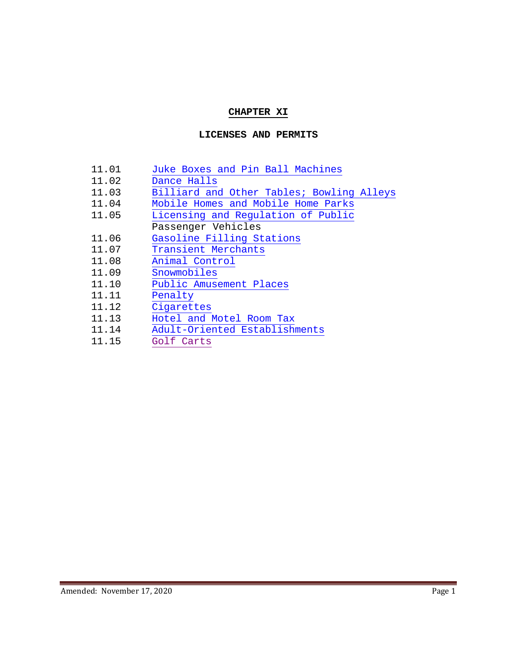# **CHAPTER XI**

#### **LICENSES AND PERMITS**

| 11.01 | Juke Boxes and Pin Ball Machines          |
|-------|-------------------------------------------|
| 11.02 | Dance Halls                               |
| 11.03 | Billiard and Other Tables; Bowling Alleys |
| 11.04 | Mobile Homes and Mobile Home Parks        |
| 11.05 | Licensing and Regulation of Public        |
|       | Passenger Vehicles                        |
| 11.06 | Gasoline Filling Stations                 |
| 11.07 | Transient Merchants                       |
| 11.08 | Animal Control                            |
| 11.09 | Snowmobiles                               |
| 11.10 | Public Amusement Places                   |
| 11.11 | Penalty                                   |
| 11.12 | Cigarettes                                |
| 11.13 | Hotel and Motel Room Tax                  |
| 11.14 | Adult-Oriented Establishments             |
| 11.15 | Golf Carts                                |
|       |                                           |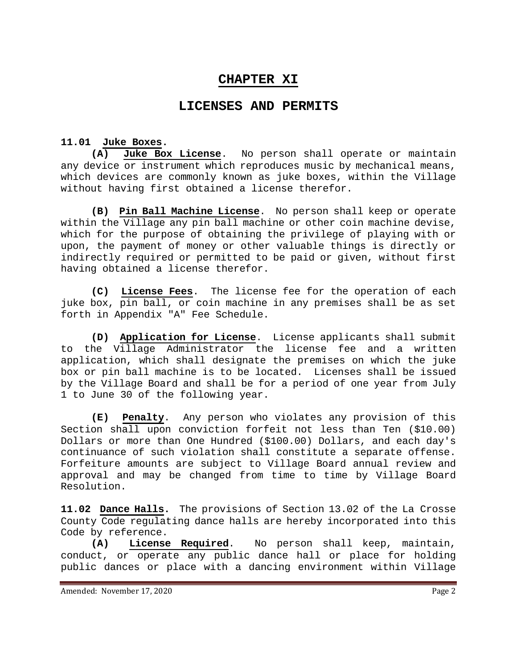# **CHAPTER XI**

# **LICENSES AND PERMITS**

#### **11.01 Juke Boxes.**

<span id="page-1-0"></span>**(A) Juke Box License**. No person shall operate or maintain any device or instrument which reproduces music by mechanical means, which devices are commonly known as juke boxes, within the Village without having first obtained a license therefor.

**(B) Pin Ball Machine License**. No person shall keep or operate within the Village any pin ball machine or other coin machine devise, which for the purpose of obtaining the privilege of playing with or upon, the payment of money or other valuable things is directly or indirectly required or permitted to be paid or given, without first having obtained a license therefor.

**(C) License Fees**. The license fee for the operation of each juke box, pin ball, or coin machine in any premises shall be as set forth in Appendix "A" Fee Schedule.

**(D) Application for License**. License applicants shall submit to the Village Administrator the license fee and a written application, which shall designate the premises on which the juke box or pin ball machine is to be located. Licenses shall be issued by the Village Board and shall be for a period of one year from July 1 to June 30 of the following year.

**(E) Penalty**. Any person who violates any provision of this Section shall upon conviction forfeit not less than Ten (\$10.00) Dollars or more than One Hundred (\$100.00) Dollars, and each day's continuance of such violation shall constitute a separate offense. Forfeiture amounts are subject to Village Board annual review and approval and may be changed from time to time by Village Board Resolution.

<span id="page-1-1"></span>**11.02 Dance Halls.** The provisions of Section 13.02 of the La Crosse County Code regulating dance halls are hereby incorporated into this Code by reference.<br>(A) License

**(A) License Required**. No person shall keep, maintain, conduct, or operate any public dance hall or place for holding public dances or place with a dancing environment within Village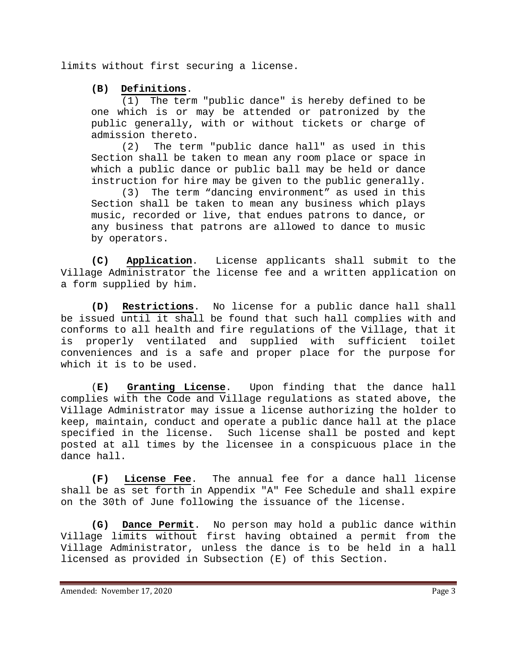limits without first securing a license.

# **(B) Definitions**.

(1) The term "public dance" is hereby defined to be one which is or may be attended or patronized by the public generally, with or without tickets or charge of admission thereto.

(2) The term "public dance hall" as used in this Section shall be taken to mean any room place or space in which a public dance or public ball may be held or dance instruction for hire may be given to the public generally.

(3) The term "dancing environment" as used in this Section shall be taken to mean any business which plays music, recorded or live, that endues patrons to dance, or any business that patrons are allowed to dance to music by operators.

**(C) Application**. License applicants shall submit to the Village Administrator the license fee and a written application on a form supplied by him.

**(D) Restrictions**. No license for a public dance hall shall be issued until it shall be found that such hall complies with and conforms to all health and fire regulations of the Village, that it is properly ventilated and supplied with sufficient toilet conveniences and is a safe and proper place for the purpose for which it is to be used.

(**E) Granting License**. Upon finding that the dance hall complies with the Code and Village regulations as stated above, the Village Administrator may issue a license authorizing the holder to keep, maintain, conduct and operate a public dance hall at the place specified in the license. Such license shall be posted and kept posted at all times by the licensee in a conspicuous place in the dance hall.

**(F) License Fee**. The annual fee for a dance hall license shall be as set forth in Appendix "A" Fee Schedule and shall expire on the 30th of June following the issuance of the license.

**(G) Dance Permit**. No person may hold a public dance within Village limits without first having obtained a permit from the Village Administrator, unless the dance is to be held in a hall licensed as provided in Subsection (E) of this Section.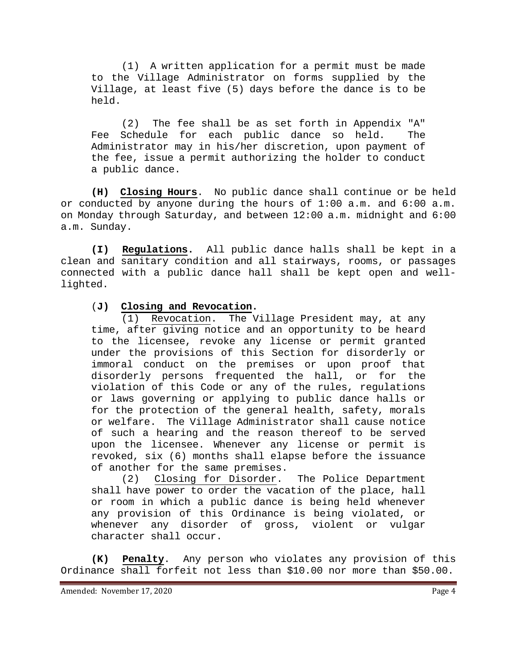(1) A written application for a permit must be made to the Village Administrator on forms supplied by the Village, at least five (5) days before the dance is to be held.

(2) The fee shall be as set forth in Appendix "A" Fee Schedule for each public dance so held. The Administrator may in his/her discretion, upon payment of the fee, issue a permit authorizing the holder to conduct a public dance.

**(H) Closing Hours**. No public dance shall continue or be held or conducted by anyone during the hours of 1:00 a.m. and 6:00 a.m. on Monday through Saturday, and between 12:00 a.m. midnight and 6:00 a.m. Sunday.

**(I) Regulations.** All public dance halls shall be kept in a clean and sanitary condition and all stairways, rooms, or passages connected with a public dance hall shall be kept open and welllighted.

#### (**J) Closing and Revocation.**

(1) Revocation. The Village President may, at any time, after giving notice and an opportunity to be heard to the licensee, revoke any license or permit granted under the provisions of this Section for disorderly or immoral conduct on the premises or upon proof that disorderly persons frequented the hall, or for the violation of this Code or any of the rules, regulations or laws governing or applying to public dance halls or for the protection of the general health, safety, morals or welfare. The Village Administrator shall cause notice of such a hearing and the reason thereof to be served upon the licensee. Whenever any license or permit is revoked, six (6) months shall elapse before the issuance of another for the same premises.

(2) Closing for Disorder. The Police Department shall have power to order the vacation of the place, hall or room in which a public dance is being held whenever any provision of this Ordinance is being violated, or whenever any disorder of gross, violent or vulgar character shall occur.

**(K) Penalty**. Any person who violates any provision of this Ordinance shall forfeit not less than \$10.00 nor more than \$50.00.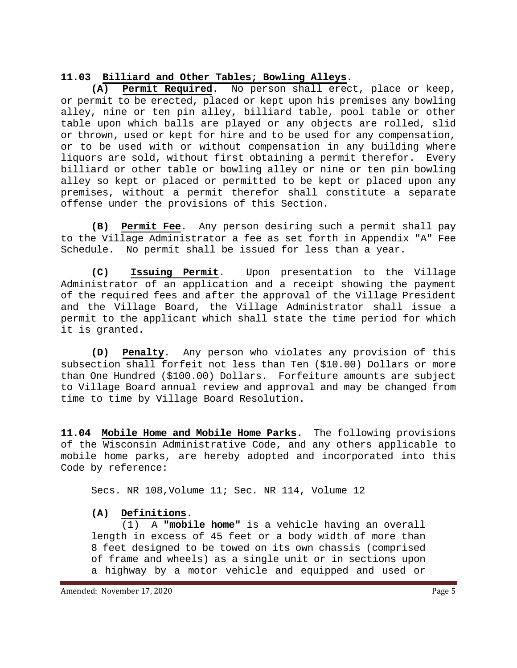# <span id="page-4-0"></span>**11.03 Billiard and Other Tables; Bowling Alleys.**

**(A) Permit Required**. No person shall erect, place or keep, or permit to be erected, placed or kept upon his premises any bowling alley, nine or ten pin alley, billiard table, pool table or other table upon which balls are played or any objects are rolled, slid or thrown, used or kept for hire and to be used for any compensation, or to be used with or without compensation in any building where liquors are sold, without first obtaining a permit therefor. Every billiard or other table or bowling alley or nine or ten pin bowling alley so kept or placed or permitted to be kept or placed upon any premises, without a permit therefor shall constitute a separate offense under the provisions of this Section.

**(B) Permit Fee**. Any person desiring such a permit shall pay to the Village Administrator a fee as set forth in Appendix "A" Fee Schedule. No permit shall be issued for less than a year.

**(C) Issuing Permit**. Upon presentation to the Village Administrator of an application and a receipt showing the payment of the required fees and after the approval of the Village President and the Village Board, the Village Administrator shall issue a permit to the applicant which shall state the time period for which it is granted.

**(D) Penalty**. Any person who violates any provision of this subsection shall forfeit not less than Ten (\$10.00) Dollars or more than One Hundred (\$100.00) Dollars. Forfeiture amounts are subject to Village Board annual review and approval and may be changed from time to time by Village Board Resolution.

<span id="page-4-1"></span>**11.04 Mobile Home and Mobile Home Parks.** The following provisions of the Wisconsin Administrative Code, and any others applicable to mobile home parks, are hereby adopted and incorporated into this Code by reference:

Secs. NR 108,Volume 11; Sec. NR 114, Volume 12

**(A) Definitions**. (1) A **"mobile home"** is a vehicle having an overall length in excess of 45 feet or a body width of more than 8 feet designed to be towed on its own chassis (comprised of frame and wheels) as a single unit or in sections upon a highway by a motor vehicle and equipped and used or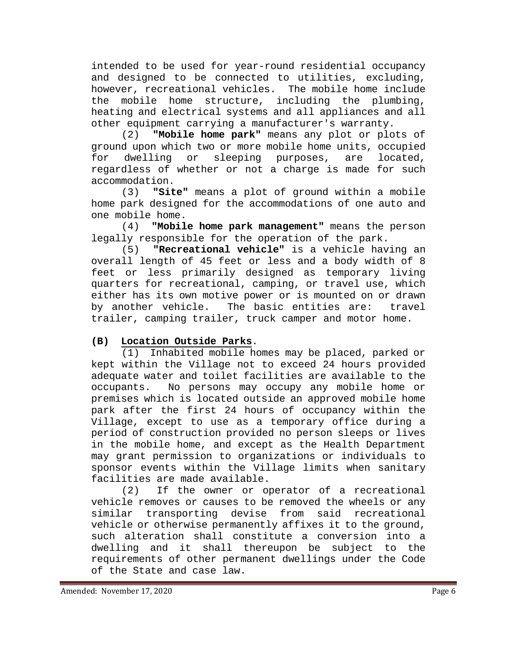intended to be used for year-round residential occupancy and designed to be connected to utilities, excluding, however, recreational vehicles. The mobile home include the mobile home structure, including the plumbing, heating and electrical systems and all appliances and all

other equipment carrying a manufacturer's warranty.<br>(2) **"Mobile home park"** means any plot or plo "Mobile home park" means any plot or plots of ground upon which two or more mobile home units, occupied<br>for dwelling or sleeping purposes, are located, sleeping purposes, are located, regardless of whether or not a charge is made for such  $\texttt{accommodation.}$ <br> $(3)$  "Sit

"Site" means a plot of ground within a mobile home park designed for the accommodations of one auto and one mobile home.<br>(4) **"Mobil** 

"Mobile home park management" means the person legally responsible for the operation of the park.

(5) **"Recreational vehicle"** is a vehicle having an overall length of 45 feet or less and a body width of 8 feet or less primarily designed as temporary living quarters for recreational, camping, or travel use, which either has its own motive power or is mounted on or drawn<br>by another vehicle. The basic entities are: travel The basic entities are: trailer, camping trailer, truck camper and motor home.

# **(B) Location Outside Parks**.

(1) Inhabited mobile homes may be placed, parked or kept within the Village not to exceed 24 hours provided adequate water and toilet facilities are available to the occupants. No persons may occupy any mobile home or premises which is located outside an approved mobile home park after the first 24 hours of occupancy within the Village, except to use as a temporary office during a period of construction provided no person sleeps or lives in the mobile home, and except as the Health Department may grant permission to organizations or individuals to sponsor events within the Village limits when sanitary facilities are made available.

(2) If the owner or operator of a recreational vehicle removes or causes to be removed the wheels or any similar transporting devise from said recreational vehicle or otherwise permanently affixes it to the ground, such alteration shall constitute a conversion into a dwelling and it shall thereupon be subject to the requirements of other permanent dwellings under the Code of the State and case law.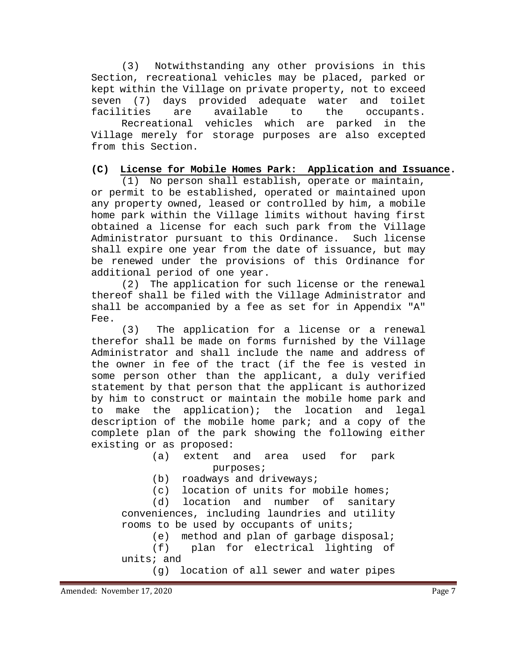(3) Notwithstanding any other provisions in this Section, recreational vehicles may be placed, parked or kept within the Village on private property, not to exceed seven (7) days provided adequate water and toilet<br>facilities are available to the occupants. occupants. Recreational vehicles which are parked in the Village merely for storage purposes are also excepted from this Section.

#### **(C) License for Mobile Homes Park: Application and Issuance.**

(1) No person shall establish, operate or maintain, or permit to be established, operated or maintained upon any property owned, leased or controlled by him, a mobile home park within the Village limits without having first obtained a license for each such park from the Village Administrator pursuant to this Ordinance. Such license shall expire one year from the date of issuance, but may be renewed under the provisions of this Ordinance for additional period of one year.

(2) The application for such license or the renewal thereof shall be filed with the Village Administrator and shall be accompanied by a fee as set for in Appendix "A" Fee.

(3) The application for a license or a renewal therefor shall be made on forms furnished by the Village Administrator and shall include the name and address of the owner in fee of the tract (if the fee is vested in some person other than the applicant, a duly verified statement by that person that the applicant is authorized by him to construct or maintain the mobile home park and<br>to make the application); the location and legal to make the application); the location and legal description of the mobile home park; and a copy of the complete plan of the park showing the following either existing or as proposed:<br>(a) extent

and area used for park purposes;

(b) roadways and driveways;

(c) location of units for mobile homes;

(d) location and number of sanitary conveniences, including laundries and utility rooms to be used by occupants of units;

(e) method and plan of garbage disposal;<br>(f) plan for electrical lighting of plan for electrical lighting of

units; and

(g) location of all sewer and water pipes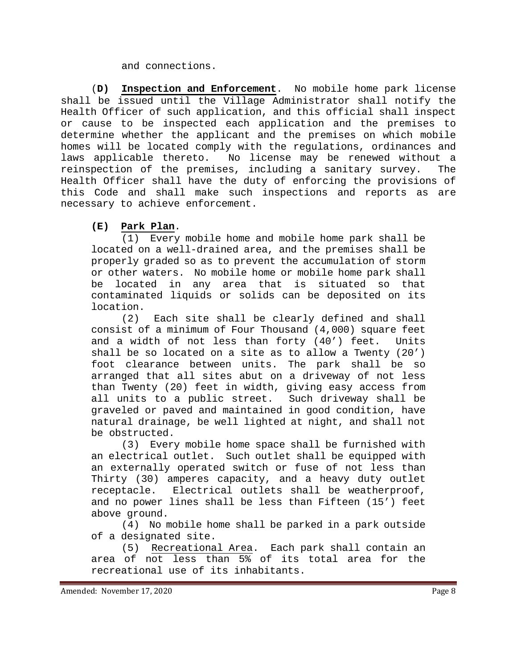#### and connections.

(**D) Inspection and Enforcement**. No mobile home park license shall be issued until the Village Administrator shall notify the Health Officer of such application, and this official shall inspect or cause to be inspected each application and the premises to determine whether the applicant and the premises on which mobile homes will be located comply with the regulations, ordinances and laws applicable thereto. No license may be renewed without a reinspection of the premises, including a sanitary survey. The Health Officer shall have the duty of enforcing the provisions of this Code and shall make such inspections and reports as are necessary to achieve enforcement.

# **(E) Park Plan**.

(1) Every mobile home and mobile home park shall be located on a well-drained area, and the premises shall be properly graded so as to prevent the accumulation of storm or other waters. No mobile home or mobile home park shall be located in any area that is situated so that contaminated liquids or solids can be deposited on its location.

(2) Each site shall be clearly defined and shall consist of a minimum of Four Thousand (4,000) square feet and a width of not less than forty (40') feet. Units shall be so located on a site as to allow a Twenty (20') foot clearance between units. The park shall be so arranged that all sites abut on a driveway of not less than Twenty (20) feet in width, giving easy access from all units to a public street. Such driveway shall be graveled or paved and maintained in good condition, have natural drainage, be well lighted at night, and shall not be obstructed.<br>(3) Ever

Every mobile home space shall be furnished with an electrical outlet. Such outlet shall be equipped with an externally operated switch or fuse of not less than Thirty (30) amperes capacity, and a heavy duty outlet receptacle. Electrical outlets shall be weatherproof, and no power lines shall be less than Fifteen (15') feet above ground.

(4) No mobile home shall be parked in a park outside of a designated site.<br>5) Recreationa

Recreational Area. Each park shall contain an area of not less than 5% of its total area for the recreational use of its inhabitants.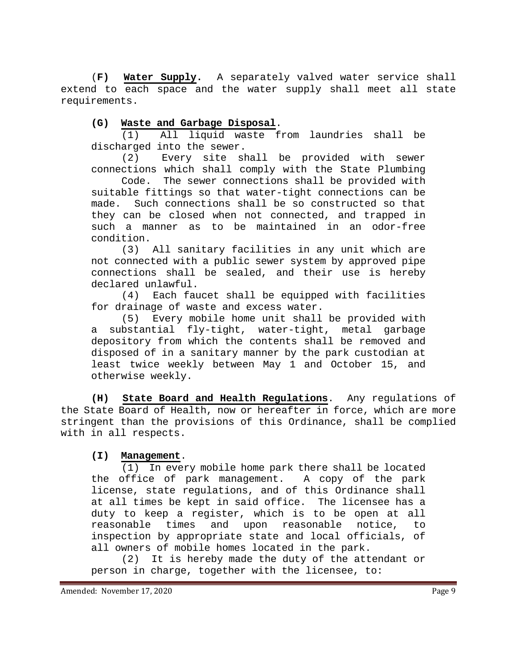(**F) Water Supply.** A separately valved water service shall extend to each space and the water supply shall meet all state requirements.

# **(G) Waste and Garbage Disposal**.

(1) All liquid waste from laundries shall be discharged into the sewer.

(2) Every site shall be provided with sewer connections which shall comply with the State Plumbing

The sewer connections shall be provided with suitable fittings so that water-tight connections can be<br>made. Such connections shall be so constructed so that Such connections shall be so constructed so that they can be closed when not connected, and trapped in such a manner as to be maintained in an odor-free condition.

(3) All sanitary facilities in any unit which are not connected with a public sewer system by approved pipe connections shall be sealed, and their use is hereby declared unlawful.

(4) Each faucet shall be equipped with facilities for drainage of waste and excess water.

(5) Every mobile home unit shall be provided with a substantial fly-tight, water-tight, metal garbage depository from which the contents shall be removed and disposed of in a sanitary manner by the park custodian at least twice weekly between May 1 and October 15, and otherwise weekly.

**(H) State Board and Health Regulations**. Any regulations of the State Board of Health, now or hereafter in force, which are more stringent than the provisions of this Ordinance, shall be complied with in all respects.

### **(I) Management**.

(1) In every mobile home park there shall be located the office of park management. A copy of the park license, state regulations, and of this Ordinance shall at all times be kept in said office. The licensee has a duty to keep a register, which is to be open at all<br>reasonable times and upon reasonable notice, to reasonable times and upon reasonable notice, to inspection by appropriate state and local officials, of all owners of mobile homes located in the park.

(2) It is hereby made the duty of the attendant or person in charge, together with the licensee, to: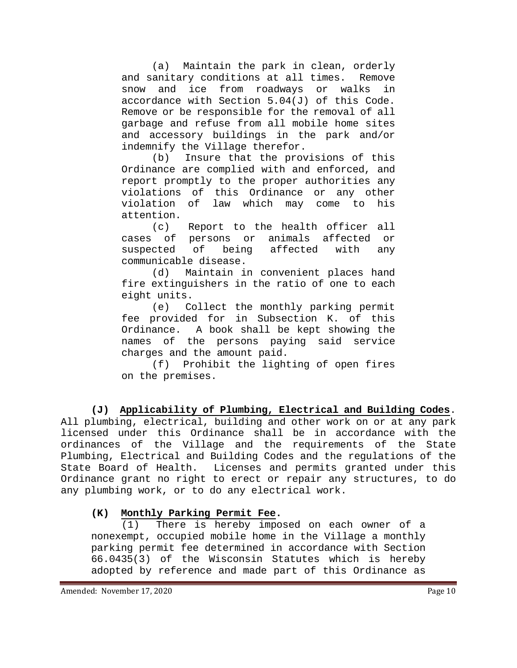(a) Maintain the park in clean, orderly<br>anitary conditions at all times. Remove and sanitary conditions at all times. snow and ice from roadways or walks in accordance with Section 5.04(J) of this Code. Remove or be responsible for the removal of all garbage and refuse from all mobile home sites and accessory buildings in the park and/or indemnify the Village therefor.

(b) Insure that the provisions of this Ordinance are complied with and enforced, and report promptly to the proper authorities any violations of this Ordinance or any other<br>violation of law which may come to his law which may come to his attention.

(c) Report to the health officer all cases of persons or animals affected or<br>suspected of being affected with any suspected of being affected with any communicable disease.<br>(d) Maintain in

Maintain in convenient places hand fire extinguishers in the ratio of one to each eight units.<br>e) Co

Collect the monthly parking permit fee provided for in Subsection K. of this Ordinance. A book shall be kept showing the names of the persons paying said service

charges and the amount paid.<br>(f) Prohibit the light Prohibit the lighting of open fires on the premises.

**(J) Applicability of Plumbing, Electrical and Building Codes**. All plumbing, electrical, building and other work on or at any park licensed under this Ordinance shall be in accordance with the ordinances of the Village and the requirements of the State Plumbing, Electrical and Building Codes and the regulations of the State Board of Health. Licenses and permits granted under this Ordinance grant no right to erect or repair any structures, to do any plumbing work, or to do any electrical work.

# **(K) Monthly Parking Permit Fee.**

(1) There is hereby imposed on each owner of a nonexempt, occupied mobile home in the Village a monthly parking permit fee determined in accordance with Section 66.0435(3) of the Wisconsin Statutes which is hereby adopted by reference and made part of this Ordinance as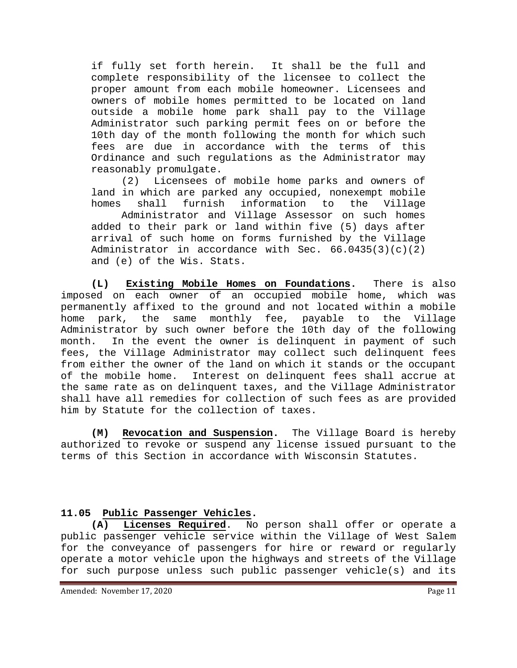if fully set forth herein. It shall be the full and complete responsibility of the licensee to collect the proper amount from each mobile homeowner. Licensees and owners of mobile homes permitted to be located on land outside a mobile home park shall pay to the Village Administrator such parking permit fees on or before the 10th day of the month following the month for which such fees are due in accordance with the terms of this Ordinance and such regulations as the Administrator may reasonably promulgate.

(2) Licensees of mobile home parks and owners of land in which are parked any occupied, nonexempt mobile<br>homes shall furnish information to the Village information to

Administrator and Village Assessor on such homes added to their park or land within five (5) days after arrival of such home on forms furnished by the Village Administrator in accordance with Sec.  $66.0435(3)(c)(2)$ and (e) of the Wis. Stats.

**(L) Existing Mobile Homes on Foundations.** There is also imposed on each owner of an occupied mobile home, which was permanently affixed to the ground and not located within a mobile home park, the same monthly fee, payable to the Village Administrator by such owner before the 10th day of the following month. In the event the owner is delinquent in payment of such fees, the Village Administrator may collect such delinquent fees from either the owner of the land on which it stands or the occupant<br>of the mobile home. Interest on delinquent fees shall accrue at Interest on delinquent fees shall accrue at the same rate as on delinquent taxes, and the Village Administrator shall have all remedies for collection of such fees as are provided him by Statute for the collection of taxes.

**(M) Revocation and Suspension.** The Village Board is hereby authorized to revoke or suspend any license issued pursuant to the terms of this Section in accordance with Wisconsin Statutes.

# 11.05 Public Passenger Vehicles.<br>(A) Licenses Required. No

Licenses Required. No person shall offer or operate a public passenger vehicle service within the Village of West Salem for the conveyance of passengers for hire or reward or regularly operate a motor vehicle upon the highways and streets of the Village for such purpose unless such public passenger vehicle(s) and its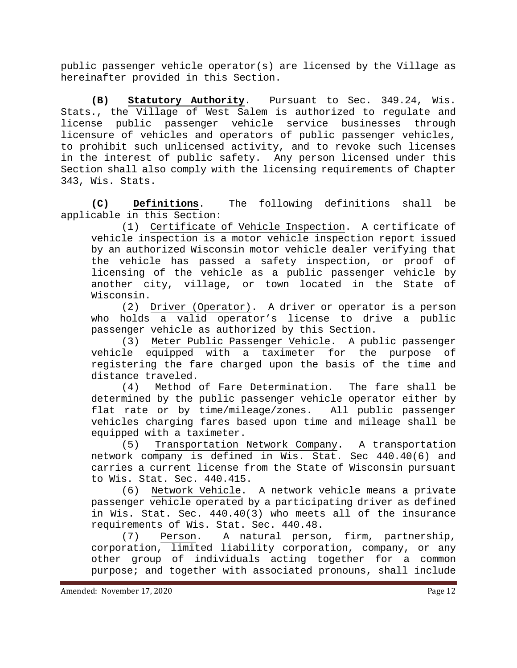public passenger vehicle operator(s) are licensed by the Village as hereinafter provided in this Section.

**(B) Statutory Authority**. Pursuant to Sec. 349.24, Wis. Stats., the Village of West Salem is authorized to regulate and license public passenger vehicle service businesses through licensure of vehicles and operators of public passenger vehicles, to prohibit such unlicensed activity, and to revoke such licenses in the interest of public safety. Any person licensed under this Section shall also comply with the licensing requirements of Chapter 343, Wis. Stats.

**(C) Definitions**. The following definitions shall be applicable in this Section:

(1) Certificate of Vehicle Inspection. A certificate of vehicle inspection is a motor vehicle inspection report issued by an authorized Wisconsin motor vehicle dealer verifying that the vehicle has passed a safety inspection, or proof of licensing of the vehicle as a public passenger vehicle by another city, village, or town located in the State of Wisconsin.<br> $(2)$ 

Driver (Operator). A driver or operator is a person who holds a valid operator's license to drive a public passenger vehicle as authorized by this Section.

(3) Meter Public Passenger Vehicle. A public passenger vehicle equipped with a taximeter for the purpose of registering the fare charged upon the basis of the time and distance traveled.

(4) Method of Fare Determination. The fare shall be determined by the public passenger vehicle operator either by flat rate or by time/mileage/zones. All public passenger vehicles charging fares based upon time and mileage shall be equipped with a taximeter.<br>(5) Transportation

Transportation Network Company. A transportation network company is defined in Wis. Stat. Sec 440.40(6) and carries a current license from the State of Wisconsin pursuant to Wis. Stat. Sec. 440.415.

(6) Network Vehicle. A network vehicle means a private passenger vehicle operated by a participating driver as defined in Wis. Stat. Sec. 440.40(3) who meets all of the insurance requirements of Wis. Stat. Sec. 440.48.

(7) Person. A natural person, firm, partnership, corporation, limited liability corporation, company, or any other group of individuals acting together for a common purpose; and together with associated pronouns, shall include

Amended: November 17, 2020 **Page 12**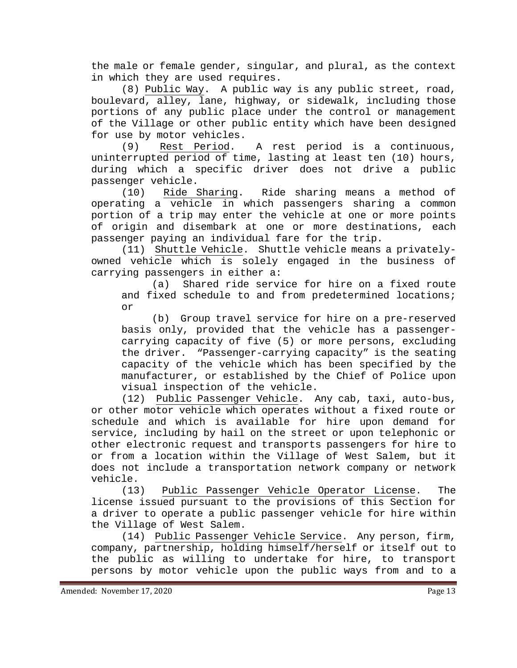the male or female gender, singular, and plural, as the context in which they are used requires.

(8) Public Way. A public way is any public street, road, boulevard, alley, lane, highway, or sidewalk, including those portions of any public place under the control or management of the Village or other public entity which have been designed for use by motor vehicles.

(9) Rest Period. A rest period is a continuous, uninterrupted period of time, lasting at least ten (10) hours, during which a specific driver does not drive a public

passenger vehicle.<br>(10) Ride Sharing. Ride sharing means a method of operating a vehicle in which passengers sharing a common portion of a trip may enter the vehicle at one or more points of origin and disembark at one or more destinations, each passenger paying an individual fare for the trip.

(11) Shuttle Vehicle. Shuttle vehicle means a privatelyowned vehicle which is solely engaged in the business of carrying passengers in either a:

(a) Shared ride service for hire on a fixed route and fixed schedule to and from predetermined locations; or

(b) Group travel service for hire on a pre-reserved basis only, provided that the vehicle has a passengercarrying capacity of five (5) or more persons, excluding the driver. "Passenger-carrying capacity" is the seating capacity of the vehicle which has been specified by the manufacturer, or established by the Chief of Police upon visual inspection of the vehicle.

(12) Public Passenger Vehicle. Any cab, taxi, auto-bus, or other motor vehicle which operates without a fixed route or schedule and which is available for hire upon demand for service, including by hail on the street or upon telephonic or other electronic request and transports passengers for hire to or from a location within the Village of West Salem, but it does not include a transportation network company or network vehicle.

(13) Public Passenger Vehicle Operator License. The license issued pursuant to the provisions of this Section for a driver to operate a public passenger vehicle for hire within the Village of West Salem.

(14) Public Passenger Vehicle Service. Any person, firm, company, partnership, holding himself/herself or itself out to the public as willing to undertake for hire, to transport persons by motor vehicle upon the public ways from and to a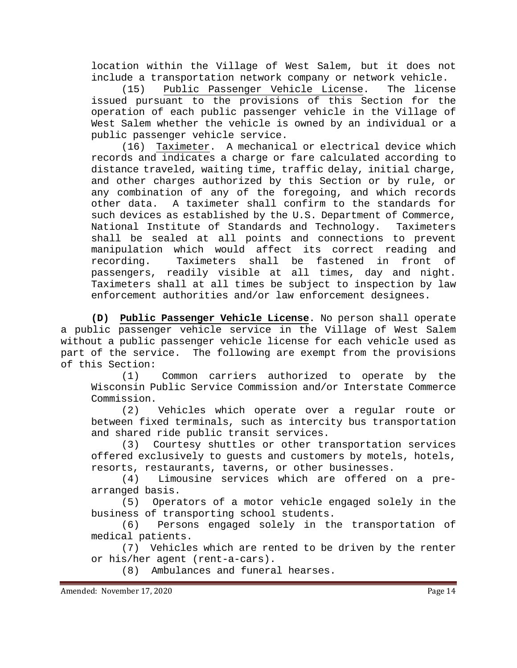location within the Village of West Salem, but it does not

include a transportation network company or network vehicle. (15) Public Passenger Vehicle License. issued pursuant to the provisions of this Section for the operation of each public passenger vehicle in the Village of West Salem whether the vehicle is owned by an individual or a public passenger vehicle service.

(16) Taximeter. A mechanical or electrical device which records and indicates a charge or fare calculated according to distance traveled, waiting time, traffic delay, initial charge, and other charges authorized by this Section or by rule, or any combination of any of the foregoing, and which records<br>other data. A taximeter shall confirm to the standards for A taximeter shall confirm to the standards for such devices as established by the U.S. Department of Commerce, National Institute of Standards and Technology. Taximeters shall be sealed at all points and connections to prevent manipulation which would affect its correct reading and<br>recording. Taximeters shall be fastened in front of Taximeters shall be fastened in front of passengers, readily visible at all times, day and night. Taximeters shall at all times be subject to inspection by law enforcement authorities and/or law enforcement designees.

**(D) Public Passenger Vehicle License**. No person shall operate a public passenger vehicle service in the Village of West Salem without a public passenger vehicle license for each vehicle used as part of the service. The following are exempt from the provisions of this Section:

Common carriers authorized to operate by the Wisconsin Public Service Commission and/or Interstate Commerce Commission.

(2) Vehicles which operate over a regular route or between fixed terminals, such as intercity bus transportation and shared ride public transit services.<br>(3) Courtesy shuttles or other tr

Courtesy shuttles or other transportation services offered exclusively to guests and customers by motels, hotels, resorts, restaurants, taverns, or other businesses.<br>(4) Limousine services which are offered

Limousine services which are offered on a prearranged basis.

(5) Operators of a motor vehicle engaged solely in the business of transporting school students.<br>(6) Persons engaged solely in th

Persons engaged solely in the transportation of medical patients.

(7) Vehicles which are rented to be driven by the renter or his/her agent (rent-a-cars).

(8) Ambulances and funeral hearses.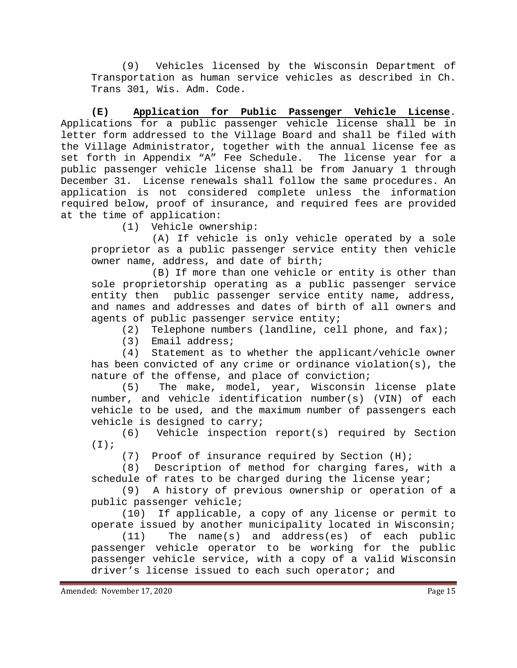(9) Vehicles licensed by the Wisconsin Department of Transportation as human service vehicles as described in Ch. Trans 301, Wis. Adm. Code.

**(E) Application for Public Passenger Vehicle License**. Applications for a public passenger vehicle license shall be in letter form addressed to the Village Board and shall be filed with the Village Administrator, together with the annual license fee as set forth in Appendix "A" Fee Schedule. The license year for a public passenger vehicle license shall be from January 1 through December 31. License renewals shall follow the same procedures. An application is not considered complete unless the information required below, proof of insurance, and required fees are provided at the time of application:<br>(1) Vehicle owne

Vehicle ownership:

(A) If vehicle is only vehicle operated by a sole proprietor as a public passenger service entity then vehicle owner name, address, and date of birth;

(B) If more than one vehicle or entity is other than sole proprietorship operating as a public passenger service entity then public passenger service entity name, address, and names and addresses and dates of birth of all owners and agents of public passenger service entity;

(2) Telephone numbers (landline, cell phone, and fax);

(3) Email address;<br>(4) Statement as t Statement as to whether the applicant/vehicle owner has been convicted of any crime or ordinance violation(s), the nature of the offense, and place of conviction;

(5) The make, model, year, Wisconsin license plate number, and vehicle identification number(s) (VIN) of each vehicle to be used, and the maximum number of passengers each vehicle is designed to carry;

(6) Vehicle inspection report(s) required by Section  $(I)$ ;

(7) Proof of insurance required by Section (H);

(8) Description of method for charging fares, with a schedule of rates to be charged during the license year;

(9) A history of previous ownership or operation of a public passenger vehicle;

(10) If applicable, a copy of any license or permit to operate issued by another municipality located in Wisconsin;

(11) The name(s) and address(es) of each public passenger vehicle operator to be working for the public passenger vehicle service, with a copy of a valid Wisconsin driver's license issued to each such operator; and

Amended: November 17, 2020 **Page 15**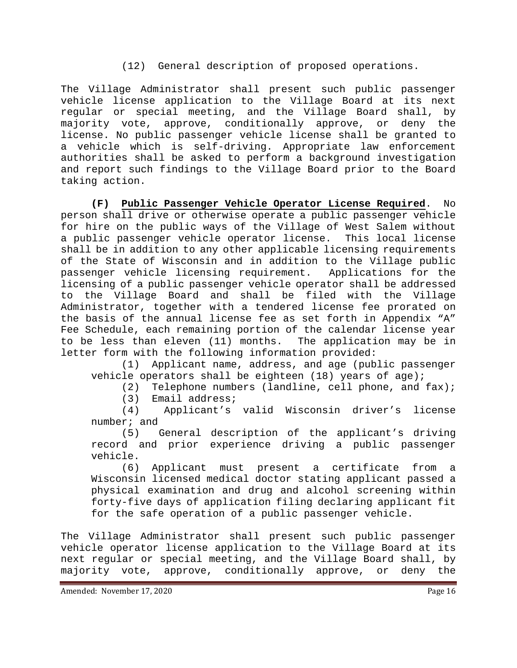#### (12) General description of proposed operations.

The Village Administrator shall present such public passenger vehicle license application to the Village Board at its next regular or special meeting, and the Village Board shall, by majority vote, approve, conditionally approve, or deny the license. No public passenger vehicle license shall be granted to a vehicle which is self-driving. Appropriate law enforcement authorities shall be asked to perform a background investigation and report such findings to the Village Board prior to the Board taking action.

**(F) Public Passenger Vehicle Operator License Required**. No person shall drive or otherwise operate a public passenger vehicle for hire on the public ways of the Village of West Salem without a public passenger vehicle operator license. This local license shall be in addition to any other applicable licensing requirements of the State of Wisconsin and in addition to the Village public passenger vehicle licensing requirement. Applications for the licensing of a public passenger vehicle operator shall be addressed to the Village Board and shall be filed with the Village Administrator, together with a tendered license fee prorated on the basis of the annual license fee as set forth in Appendix "A" Fee Schedule, each remaining portion of the calendar license year to be less than eleven (11) months. The application may be in letter form with the following information provided:<br>(1) Applicant name, address, and age (pub

Applicant name, address, and age (public passenger vehicle operators shall be eighteen (18) years of age);

(2) Telephone numbers (landline, cell phone, and fax);

(3) Email address;<br>(4) Applicant's Applicant's valid Wisconsin driver's license number; and<br> $(5)$ 

General description of the applicant's driving record and prior experience driving a public passenger vehicle.<br>(6)

Applicant must present a certificate from a Wisconsin licensed medical doctor stating applicant passed a physical examination and drug and alcohol screening within forty-five days of application filing declaring applicant fit for the safe operation of a public passenger vehicle.

The Village Administrator shall present such public passenger vehicle operator license application to the Village Board at its next regular or special meeting, and the Village Board shall, by majority vote, approve, conditionally approve, or deny the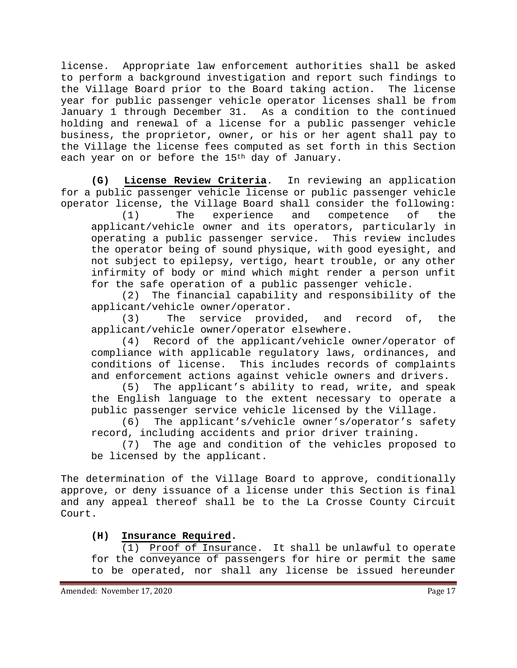license. Appropriate law enforcement authorities shall be asked to perform a background investigation and report such findings to the Village Board prior to the Board taking action. year for public passenger vehicle operator licenses shall be from January 1 through December 31. As a condition to the continued holding and renewal of a license for a public passenger vehicle business, the proprietor, owner, or his or her agent shall pay to the Village the license fees computed as set forth in this Section each year on or before the 15<sup>th</sup> day of January.

**(G) License Review Criteria**. In reviewing an application for a public passenger vehicle license or public passenger vehicle

operator license, the Village Board shall consider the following:<br>(1) The experience and competence of the (1) The experience and competence of the applicant/vehicle owner and its operators, particularly in operating a public passenger service. This review includes the operator being of sound physique, with good eyesight, and not subject to epilepsy, vertigo, heart trouble, or any other infirmity of body or mind which might render a person unfit for the safe operation of a public passenger vehicle.

(2) The financial capability and responsibility of the applicant/vehicle owner/operator.

(3) The service provided, and record of, the applicant/vehicle owner/operator elsewhere.

(4) Record of the applicant/vehicle owner/operator of compliance with applicable regulatory laws, ordinances, and conditions of license. This includes records of complaints and enforcement actions against vehicle owners and drivers.

(5) The applicant's ability to read, write, and speak the English language to the extent necessary to operate a public passenger service vehicle licensed by the Village.

(6) The applicant's/vehicle owner's/operator's safety record, including accidents and prior driver training.<br>(7) The age and condition of the vehicles propo

The age and condition of the vehicles proposed to be licensed by the applicant.

The determination of the Village Board to approve, conditionally approve, or deny issuance of a license under this Section is final and any appeal thereof shall be to the La Crosse County Circuit Court.

# **(H) Insurance Required.**

(1) Proof of Insurance. It shall be unlawful to operate for the conveyance of passengers for hire or permit the same to be operated, nor shall any license be issued hereunder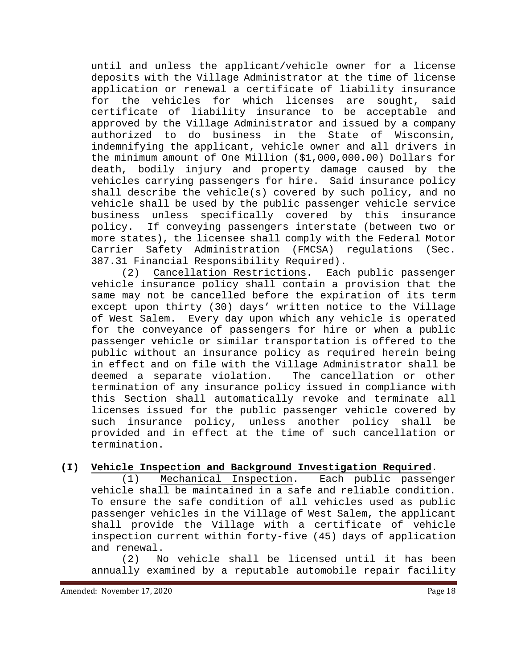until and unless the applicant/vehicle owner for a license deposits with the Village Administrator at the time of license application or renewal a certificate of liability insurance for the vehicles for which licenses are sought, said certificate of liability insurance to be acceptable and approved by the Village Administrator and issued by a company authorized to do business in the State of Wisconsin, indemnifying the applicant, vehicle owner and all drivers in the minimum amount of One Million (\$1,000,000.00) Dollars for death, bodily injury and property damage caused by the vehicles carrying passengers for hire. Said insurance policy shall describe the vehicle(s) covered by such policy, and no vehicle shall be used by the public passenger vehicle service business unless specifically covered by this insurance policy. If conveying passengers interstate (between two or more states), the licensee shall comply with the Federal Motor Carrier Safety Administration (FMCSA) regulations (Sec.

387.31 Financial Responsibility Required).<br>(2) Cancellation Restrictions. Each public passenger  $(2)$  Cancellation Restrictions. vehicle insurance policy shall contain a provision that the same may not be cancelled before the expiration of its term except upon thirty (30) days' written notice to the Village of West Salem. Every day upon which any vehicle is operated for the conveyance of passengers for hire or when a public passenger vehicle or similar transportation is offered to the public without an insurance policy as required herein being in effect and on file with the Village Administrator shall be<br>deemed a separate violation. The cancellation or other deemed a separate violation. termination of any insurance policy issued in compliance with this Section shall automatically revoke and terminate all licenses issued for the public passenger vehicle covered by such insurance policy, unless another policy shall be provided and in effect at the time of such cancellation or termination.

### **(I) Vehicle Inspection and Background Investigation Required**.

(1) Mechanical Inspection. Each public passenger vehicle shall be maintained in a safe and reliable condition. To ensure the safe condition of all vehicles used as public passenger vehicles in the Village of West Salem, the applicant shall provide the Village with a certificate of vehicle inspection current within forty-five (45) days of application and renewal.

(2) No vehicle shall be licensed until it has been annually examined by a reputable automobile repair facility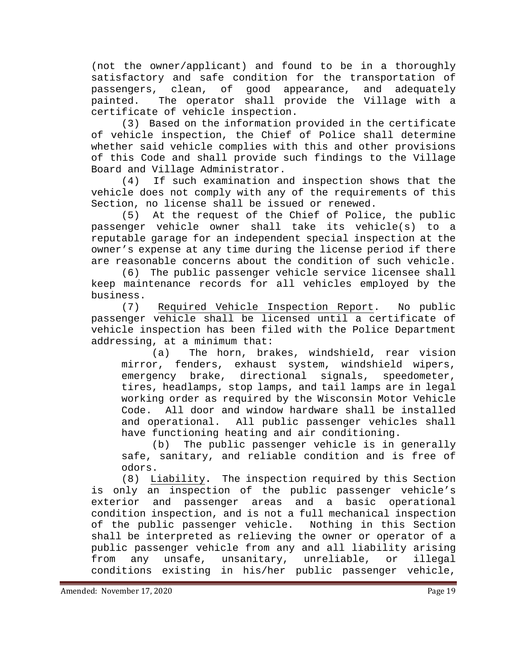(not the owner/applicant) and found to be in a thoroughly satisfactory and safe condition for the transportation of<br>passengers, clean, of good appearance, and adequately passengers, clean, of painted. The operator shall provide the Village with a certificate of vehicle inspection.

(3) Based on the information provided in the certificate of vehicle inspection, the Chief of Police shall determine whether said vehicle complies with this and other provisions of this Code and shall provide such findings to the Village Board and Village Administrator.<br>(4) If such examination an

If such examination and inspection shows that the vehicle does not comply with any of the requirements of this Section, no license shall be issued or renewed.

(5) At the request of the Chief of Police, the public passenger vehicle owner shall take its vehicle(s) to a reputable garage for an independent special inspection at the owner's expense at any time during the license period if there are reasonable concerns about the condition of such vehicle.

(6) The public passenger vehicle service licensee shall keep maintenance records for all vehicles employed by the business.<br>(7)

Required Vehicle Inspection Report. No public passenger vehicle shall be licensed until a certificate of vehicle inspection has been filed with the Police Department addressing, at a minimum that:<br>a) The horn, bra)

The horn, brakes, windshield, rear vision mirror, fenders, exhaust system, windshield wipers,<br>emergency brake, directional signals, speedometer, emergency brake, directional signals, tires, headlamps, stop lamps, and tail lamps are in legal working order as required by the Wisconsin Motor Vehicle Code. All door and window hardware shall be installed and operational. All public passenger vehicles shall have functioning heating and air conditioning.

(b) The public passenger vehicle is in generally safe, sanitary, and reliable condition and is free of odors.

(8) Liability**.** The inspection required by this Section is only an inspection of the public passenger vehicle's exterior and passenger areas and a basic operational condition inspection, and is not a full mechanical inspection<br>of the public passenger vehicle. Nothing in this Section of the public passenger vehicle. shall be interpreted as relieving the owner or operator of a public passenger vehicle from any and all liability arising from any unsafe, unsanitary, unreliable, or illegal conditions existing in his/her public passenger vehicle,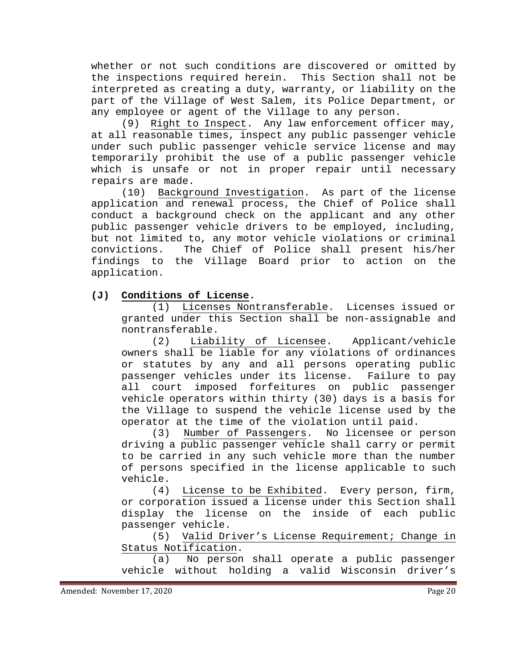whether or not such conditions are discovered or omitted by the inspections required herein. This Section shall not be interpreted as creating a duty, warranty, or liability on the part of the Village of West Salem, its Police Department, or any employee or agent of the Village to any person.

(9) Right to Inspect. Any law enforcement officer may, at all reasonable times, inspect any public passenger vehicle under such public passenger vehicle service license and may temporarily prohibit the use of a public passenger vehicle which is unsafe or not in proper repair until necessary repairs are made.

(10) Background Investigation. As part of the license application and renewal process, the Chief of Police shall conduct a background check on the applicant and any other public passenger vehicle drivers to be employed, including, but not limited to, any motor vehicle violations or criminal convictions. The Chief of Police shall present his/her findings to the Village Board prior to action on the application.

**(J) Conditions of License.** 

(1) Licenses Nontransferable. Licenses issued or granted under this Section shall be non-assignable and nontransferable.

(2) Liability of Licensee. Applicant/vehicle owners shall be liable for any violations of ordinances or statutes by any and all persons operating public<br>passenger vehicles under its license. Failure to pay passenger vehicles under its license. all court imposed forfeitures on public passenger vehicle operators within thirty (30) days is a basis for the Village to suspend the vehicle license used by the operator at the time of the violation until paid.

(3) Number of Passengers. No licensee or person driving a public passenger vehicle shall carry or permit to be carried in any such vehicle more than the number of persons specified in the license applicable to such vehicle.

(4) License to be Exhibited. Every person, firm, or corporation issued a license under this Section shall display the license on the inside of each public passenger vehicle.

(5) Valid Driver's License Requirement; Change in Status Notification.

(a) No person shall operate a public passenger vehicle without holding a valid Wisconsin driver's

Amended: November 17, 2020 **Page 20**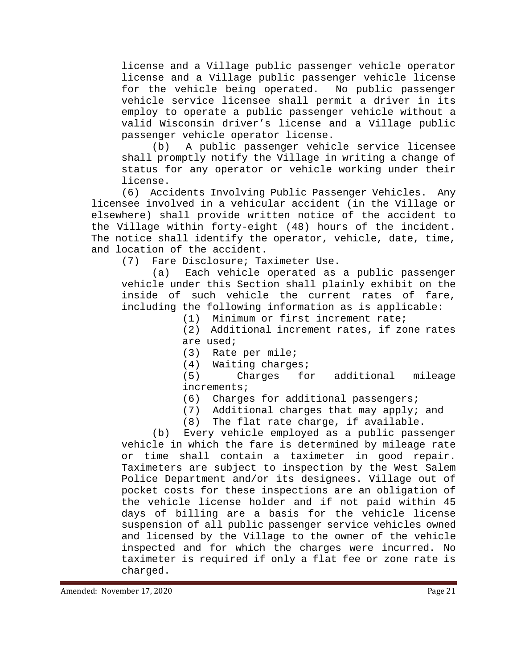license and a Village public passenger vehicle operator license and a Village public passenger vehicle license<br>for the vehicle being operated. No public passenger for the vehicle being operated. vehicle service licensee shall permit a driver in its employ to operate a public passenger vehicle without a valid Wisconsin driver's license and a Village public passenger vehicle operator license.

(b) A public passenger vehicle service licensee shall promptly notify the Village in writing a change of status for any operator or vehicle working under their license.

(6) Accidents Involving Public Passenger Vehicles. Any licensee involved in a vehicular accident (in the Village or elsewhere) shall provide written notice of the accident to the Village within forty-eight (48) hours of the incident. The notice shall identify the operator, vehicle, date, time, and location of the accident.<br>(7) Fare Disclosure; Ta

Fare Disclosure; Taximeter Use.<br>(a) Each vehicle operated as

Each vehicle operated as a public passenger vehicle under this Section shall plainly exhibit on the inside of such vehicle the current rates of fare, including the following information as is applicable:

(1) Minimum or first increment rate;

(2) Additional increment rates, if zone rates

are used;<br>(3) Rate Rate per mile;

(4) Waiting charges;<br>(5) Charges for additional mileage increments;<br>(6) Charge

- Charges for additional passengers;
- (7) Additional charges that may apply; and
- (8) The flat rate charge, if available.

(b) Every vehicle employed as a public passenger vehicle in which the fare is determined by mileage rate or time shall contain a taximeter in good repair. Taximeters are subject to inspection by the West Salem Police Department and/or its designees. Village out of pocket costs for these inspections are an obligation of the vehicle license holder and if not paid within 45 days of billing are a basis for the vehicle license suspension of all public passenger service vehicles owned and licensed by the Village to the owner of the vehicle inspected and for which the charges were incurred. No taximeter is required if only a flat fee or zone rate is charged.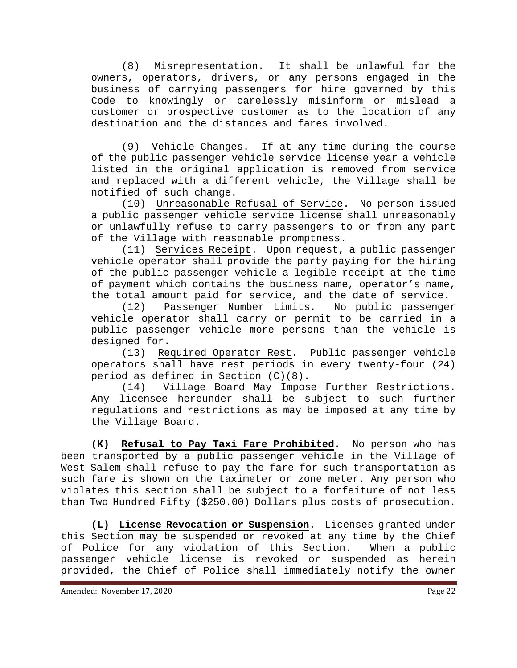(8) Misrepresentation. It shall be unlawful for the owners, operators, drivers, or any persons engaged in the business of carrying passengers for hire governed by this Code to knowingly or carelessly misinform or mislead a customer or prospective customer as to the location of any destination and the distances and fares involved.

(9) Vehicle Changes. If at any time during the course of the public passenger vehicle service license year a vehicle listed in the original application is removed from service and replaced with a different vehicle, the Village shall be notified of such change.

(10) Unreasonable Refusal of Service. No person issued a public passenger vehicle service license shall unreasonably or unlawfully refuse to carry passengers to or from any part of the Village with reasonable promptness.

(11) Services Receipt. Upon request, a public passenger vehicle operator shall provide the party paying for the hiring of the public passenger vehicle a legible receipt at the time of payment which contains the business name, operator's name, the total amount paid for service, and the date of service.<br>(12) Passenger Number Limits. No public passenger

(12) Passenger Number Limits. vehicle operator shall carry or permit to be carried in a public passenger vehicle more persons than the vehicle is designed for.

(13) Required Operator Rest. Public passenger vehicle operators shall have rest periods in every twenty-four (24) period as defined in Section (C)(8).

(14) Village Board May Impose Further Restrictions. Any licensee hereunder shall be subject to such further regulations and restrictions as may be imposed at any time by the Village Board.

**(K) Refusal to Pay Taxi Fare Prohibited**. No person who has been transported by a public passenger vehicle in the Village of West Salem shall refuse to pay the fare for such transportation as such fare is shown on the taximeter or zone meter. Any person who violates this section shall be subject to a forfeiture of not less than Two Hundred Fifty (\$250.00) Dollars plus costs of prosecution.

**(L) License Revocation or Suspension**. Licenses granted under this Section may be suspended or revoked at any time by the Chief<br>of Police for any violation of this Section. When a public of Police for any violation of this Section. passenger vehicle license is revoked or suspended as herein provided, the Chief of Police shall immediately notify the owner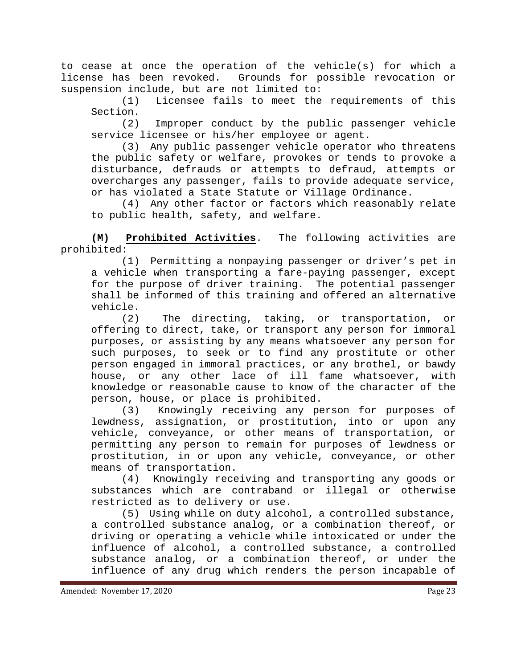to cease at once the operation of the vehicle(s) for which a license has been revoked. Grounds for possible revocation or suspension include, but are not limited to:

(1) Licensee fails to meet the requirements of this Section.

(2) Improper conduct by the public passenger vehicle service licensee or his/her employee or agent.

(3) Any public passenger vehicle operator who threatens the public safety or welfare, provokes or tends to provoke a disturbance, defrauds or attempts to defraud, attempts or overcharges any passenger, fails to provide adequate service, or has violated a State Statute or Village Ordinance.

(4) Any other factor or factors which reasonably relate to public health, safety, and welfare.

**(M) Prohibited Activities**. The following activities are prohibited:

(1) Permitting a nonpaying passenger or driver's pet in a vehicle when transporting a fare-paying passenger, except for the purpose of driver training. The potential passenger shall be informed of this training and offered an alternative vehicle.

(2) The directing, taking, or transportation, or offering to direct, take, or transport any person for immoral purposes, or assisting by any means whatsoever any person for such purposes, to seek or to find any prostitute or other person engaged in immoral practices, or any brothel, or bawdy house, or any other lace of ill fame whatsoever, with knowledge or reasonable cause to know of the character of the person, house, or place is prohibited.

(3) Knowingly receiving any person for purposes of lewdness, assignation, or prostitution, into or upon any vehicle, conveyance, or other means of transportation, or permitting any person to remain for purposes of lewdness or prostitution, in or upon any vehicle, conveyance, or other means of transportation.

(4) Knowingly receiving and transporting any goods or substances which are contraband or illegal or otherwise restricted as to delivery or use.

(5) Using while on duty alcohol, a controlled substance, a controlled substance analog, or a combination thereof, or driving or operating a vehicle while intoxicated or under the influence of alcohol, a controlled substance, a controlled substance analog, or a combination thereof, or under the influence of any drug which renders the person incapable of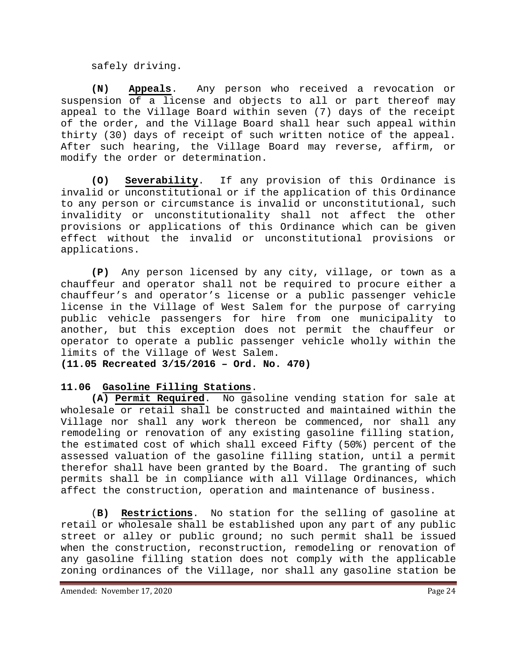safely driving.

**(N) Appeals**. Any person who received a revocation or suspension of a license and objects to all or part thereof may appeal to the Village Board within seven (7) days of the receipt of the order, and the Village Board shall hear such appeal within thirty (30) days of receipt of such written notice of the appeal. After such hearing, the Village Board may reverse, affirm, or modify the order or determination.

**(O) Severability**. If any provision of this Ordinance is invalid or unconstitutional or if the application of this Ordinance to any person or circumstance is invalid or unconstitutional, such invalidity or unconstitutionality shall not affect the other provisions or applications of this Ordinance which can be given effect without the invalid or unconstitutional provisions or applications.

**(P)** Any person licensed by any city, village, or town as a chauffeur and operator shall not be required to procure either a chauffeur's and operator's license or a public passenger vehicle license in the Village of West Salem for the purpose of carrying public vehicle passengers for hire from one municipality to another, but this exception does not permit the chauffeur or operator to operate a public passenger vehicle wholly within the limits of the Village of West Salem.

**(11.05 Recreated 3/15/2016 – Ord. No. 470)**

# <span id="page-23-0"></span>**11.06 Gasoline Filling Stations**.

**(A) Permit Required**. No gasoline vending station for sale at wholesale or retail shall be constructed and maintained within the Village nor shall any work thereon be commenced, nor shall any remodeling or renovation of any existing gasoline filling station, the estimated cost of which shall exceed Fifty (50%) percent of the assessed valuation of the gasoline filling station, until a permit therefor shall have been granted by the Board. The granting of such permits shall be in compliance with all Village Ordinances, which affect the construction, operation and maintenance of business.

(**B) Restrictions**. No station for the selling of gasoline at retail or wholesale shall be established upon any part of any public street or alley or public ground; no such permit shall be issued when the construction, reconstruction, remodeling or renovation of any gasoline filling station does not comply with the applicable zoning ordinances of the Village, nor shall any gasoline station be

Amended: November 17, 2020 **Page 24**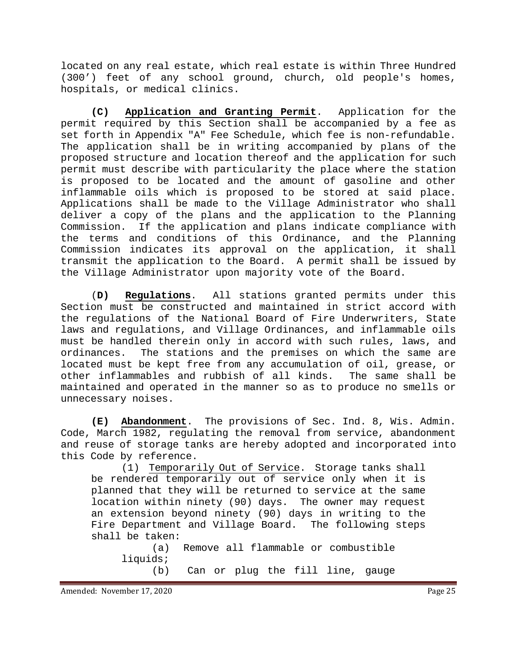located on any real estate, which real estate is within Three Hundred (300') feet of any school ground, church, old people's homes, hospitals, or medical clinics.

**(C) Application and Granting Permit**. Application for the permit required by this Section shall be accompanied by a fee as set forth in Appendix "A" Fee Schedule, which fee is non-refundable. The application shall be in writing accompanied by plans of the proposed structure and location thereof and the application for such permit must describe with particularity the place where the station is proposed to be located and the amount of gasoline and other inflammable oils which is proposed to be stored at said place. Applications shall be made to the Village Administrator who shall deliver a copy of the plans and the application to the Planning Commission. If the application and plans indicate compliance with the terms and conditions of this Ordinance, and the Planning Commission indicates its approval on the application, it shall transmit the application to the Board. A permit shall be issued by the Village Administrator upon majority vote of the Board.

(**D) Regulations**. All stations granted permits under this Section must be constructed and maintained in strict accord with the regulations of the National Board of Fire Underwriters, State laws and regulations, and Village Ordinances, and inflammable oils must be handled therein only in accord with such rules, laws, and<br>ordinances. The stations and the premises on which the same are The stations and the premises on which the same are located must be kept free from any accumulation of oil, grease, or<br>other inflammables and rubbish of all kinds. The same shall be other inflammables and rubbish of all kinds. maintained and operated in the manner so as to produce no smells or unnecessary noises.

**(E) Abandonment**. The provisions of Sec. Ind. 8, Wis. Admin. Code, March 1982, regulating the removal from service, abandonment and reuse of storage tanks are hereby adopted and incorporated into this Code by reference.

(1) Temporarily Out of Service. Storage tanks shall be rendered temporarily out of service only when it is planned that they will be returned to service at the same location within ninety (90) days. The owner may request an extension beyond ninety (90) days in writing to the Fire Department and Village Board. The following steps shall be taken:

(a) Remove all flammable or combustible liquids; (b) Can or plug the fill line, gauge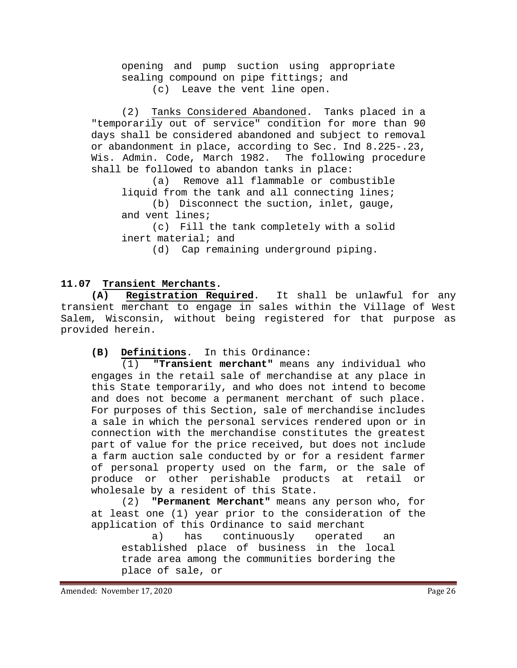opening and pump suction using appropriate sealing compound on pipe fittings; and (c) Leave the vent line open.

(2) Tanks Considered Abandoned. Tanks placed in a "temporarily out of service" condition for more than 90 days shall be considered abandoned and subject to removal or abandonment in place, according to Sec. Ind 8.225-.23, Wis. Admin. Code, March 1982. The following procedure shall be followed to abandon tanks in place:<br>(a) Remove all flammable or comb

Remove all flammable or combustible liquid from the tank and all connecting lines;

(b) Disconnect the suction, inlet, gauge, and vent lines;

(c) Fill the tank completely with a solid inert material; and

(d) Cap remaining underground piping.

# <span id="page-25-0"></span>**11.07 Transient Merchants.**

**(A) Registration Required**. It shall be unlawful for any transient merchant to engage in sales within the Village of West Salem, Wisconsin, without being registered for that purpose as provided herein.

**(B)** Definitions. In this Ordinance:<br>(1) **"Transient merchant"** means

**"Transient merchant"** means any individual who engages in the retail sale of merchandise at any place in this State temporarily, and who does not intend to become and does not become a permanent merchant of such place. For purposes of this Section, sale of merchandise includes a sale in which the personal services rendered upon or in connection with the merchandise constitutes the greatest part of value for the price received, but does not include a farm auction sale conducted by or for a resident farmer of personal property used on the farm, or the sale of produce or other perishable products at retail or wholesale by a resident of this State.<br>(2) **"Permanent Merchant"** means a

"Permanent Merchant" means any person who, for at least one (1) year prior to the consideration of the application of this Ordinance to said merchant

a) has continuously operated an established place of business in the local trade area among the communities bordering the place of sale, or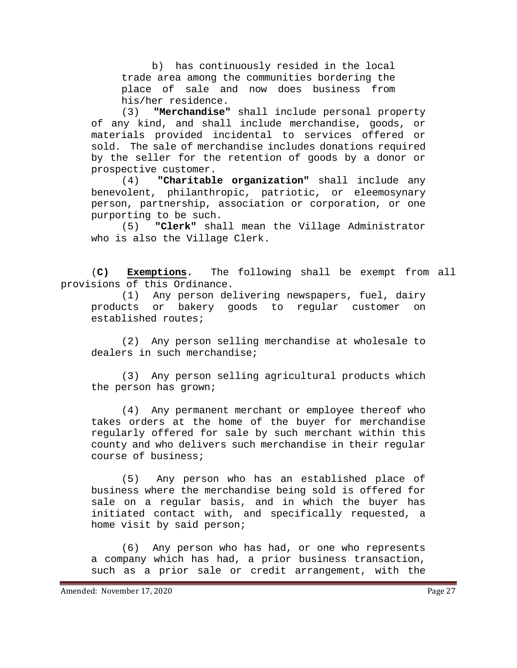b) has continuously resided in the local trade area among the communities bordering the place of sale and now does business from his/her residence.<br>(3) **"Merchandise"** 

"Merchandise" shall include personal property of any kind, and shall include merchandise, goods, or materials provided incidental to services offered or sold. The sale of merchandise includes donations required by the seller for the retention of goods by a donor or prospective customer.<br>(4) **"Charitabl** 

"Charitable organization" shall include any benevolent, philanthropic, patriotic, or eleemosynary person, partnership, association or corporation, or one purporting to be such.<br>(5) **"Clerk"** sha

(5) **"Clerk"** shall mean the Village Administrator who is also the Village Clerk.

(**C) Exemptions.** The following shall be exempt from all provisions of this Ordinance.

(1) Any person delivering newspapers, fuel, dairy products or bakery goods to regular customer on established routes;

(2) Any person selling merchandise at wholesale to dealers in such merchandise;

(3) Any person selling agricultural products which the person has grown;

(4) Any permanent merchant or employee thereof who takes orders at the home of the buyer for merchandise regularly offered for sale by such merchant within this county and who delivers such merchandise in their regular course of business;

(5) Any person who has an established place of business where the merchandise being sold is offered for sale on a regular basis, and in which the buyer has initiated contact with, and specifically requested, a home visit by said person;

(6) Any person who has had, or one who represents a company which has had, a prior business transaction, such as a prior sale or credit arrangement, with the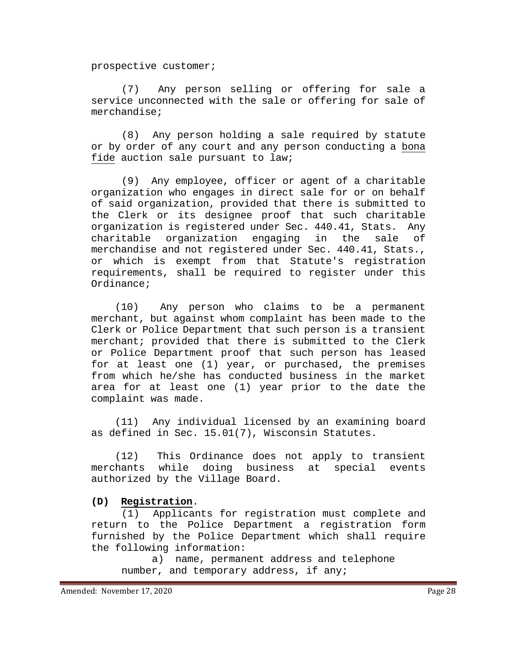prospective customer;

(7) Any person selling or offering for sale a service unconnected with the sale or offering for sale of merchandise;

(8) Any person holding a sale required by statute or by order of any court and any person conducting a bona fide auction sale pursuant to law;

(9) Any employee, officer or agent of a charitable organization who engages in direct sale for or on behalf of said organization, provided that there is submitted to the Clerk or its designee proof that such charitable organization is registered under Sec. 440.41, Stats. Any charitable organization engaging in the sale of merchandise and not registered under Sec. 440.41, Stats., or which is exempt from that Statute's registration requirements, shall be required to register under this Ordinance;

 (10) Any person who claims to be a permanent merchant, but against whom complaint has been made to the Clerk or Police Department that such person is a transient merchant; provided that there is submitted to the Clerk or Police Department proof that such person has leased for at least one (1) year, or purchased, the premises from which he/she has conducted business in the market area for at least one (1) year prior to the date the complaint was made.

 (11) Any individual licensed by an examining board as defined in Sec. 15.01(7), Wisconsin Statutes.

 (12) This Ordinance does not apply to transient merchants while doing business at special events authorized by the Village Board.

#### **(D) Registration**.

(1) Applicants for registration must complete and return to the Police Department a registration form furnished by the Police Department which shall require the following information:

a) name, permanent address and telephone number, and temporary address, if any;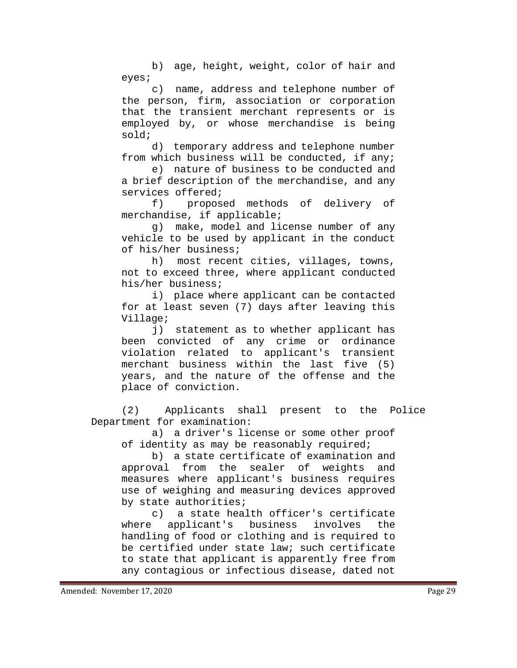b) age, height, weight, color of hair and eyes;

c) name, address and telephone number of the person, firm, association or corporation that the transient merchant represents or is employed by, or whose merchandise is being sold;

d) temporary address and telephone number from which business will be conducted, if any;

e) nature of business to be conducted and a brief description of the merchandise, and any services offered;<br>f) propos

proposed methods of delivery of merchandise, if applicable;

g) make, model and license number of any vehicle to be used by applicant in the conduct of his/her business;

h) most recent cities, villages, towns, not to exceed three, where applicant conducted his/her business;

i) place where applicant can be contacted for at least seven (7) days after leaving this Village;

j) statement as to whether applicant has been convicted of any crime or ordinance violation related to applicant's transient merchant business within the last five (5) years, and the nature of the offense and the place of conviction.

(2) Applicants shall present to the Police Department for examination:

a) a driver's license or some other proof of identity as may be reasonably required;

b) a state certificate of examination and approval from the sealer of weights and measures where applicant's business requires use of weighing and measuring devices approved by state authorities;

c) a state health officer's certificate<br>where applicant's business involves the applicant's business involves handling of food or clothing and is required to be certified under state law; such certificate to state that applicant is apparently free from any contagious or infectious disease, dated not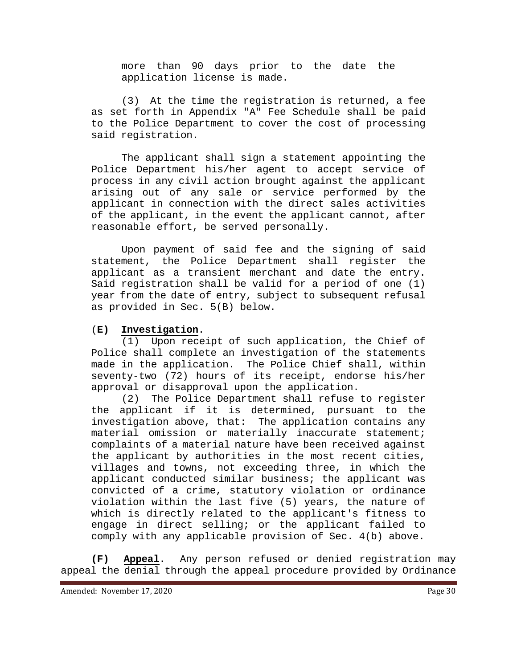more than 90 days prior to the date the application license is made.

(3) At the time the registration is returned, a fee as set forth in Appendix "A" Fee Schedule shall be paid to the Police Department to cover the cost of processing said registration.

The applicant shall sign a statement appointing the Police Department his/her agent to accept service of process in any civil action brought against the applicant arising out of any sale or service performed by the applicant in connection with the direct sales activities of the applicant, in the event the applicant cannot, after reasonable effort, be served personally.

Upon payment of said fee and the signing of said statement, the Police Department shall register the applicant as a transient merchant and date the entry. Said registration shall be valid for a period of one (1) year from the date of entry, subject to subsequent refusal as provided in Sec. 5(B) below.

#### (**E) Investigation**.

(1) Upon receipt of such application, the Chief of Police shall complete an investigation of the statements made in the application. The Police Chief shall, within seventy-two (72) hours of its receipt, endorse his/her approval or disapproval upon the application.

(2) The Police Department shall refuse to register the applicant if it is determined, pursuant to the investigation above, that: The application contains any material omission or materially inaccurate statement; complaints of a material nature have been received against the applicant by authorities in the most recent cities, villages and towns, not exceeding three, in which the applicant conducted similar business; the applicant was convicted of a crime, statutory violation or ordinance violation within the last five (5) years, the nature of which is directly related to the applicant's fitness to engage in direct selling; or the applicant failed to comply with any applicable provision of Sec. 4(b) above.

**(F) Appeal.** Any person refused or denied registration may appeal the denial through the appeal procedure provided by Ordinance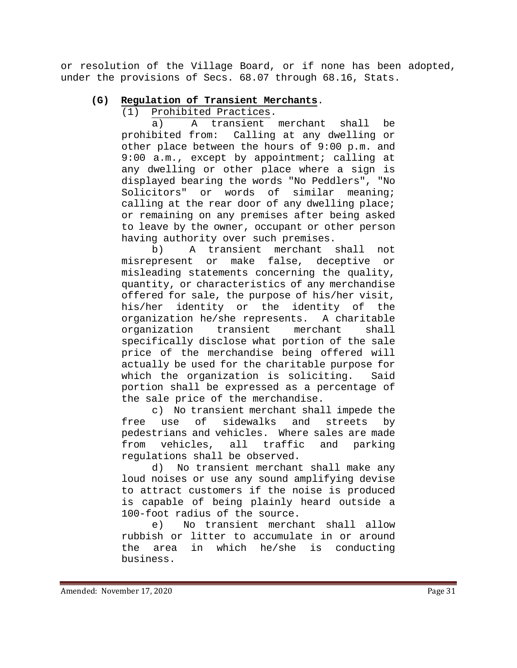or resolution of the Village Board, or if none has been adopted, under the provisions of Secs. 68.07 through 68.16, Stats.

# **(G) Regulation of Transient Merchants**.

Prohibited Practices.

a) A transient merchant shall be prohibited from: Calling at any dwelling or other place between the hours of 9:00 p.m. and 9:00 a.m., except by appointment; calling at any dwelling or other place where a sign is displayed bearing the words "No Peddlers", "No Solicitors" or words of similar meaning; calling at the rear door of any dwelling place; or remaining on any premises after being asked to leave by the owner, occupant or other person having authority over such premises.

b) A transient merchant shall not misrepresent or make false, deceptive or misleading statements concerning the quality, quantity, or characteristics of any merchandise offered for sale, the purpose of his/her visit,<br>his/her identity or the identity of the his/her identity or the identity of the organization he/she represents. A charitable organization transient merchant shall specifically disclose what portion of the sale price of the merchandise being offered will actually be used for the charitable purpose for which the organization is soliciting. Said portion shall be expressed as a percentage of the sale price of the merchandise.

c) No transient merchant shall impede the free use of sidewalks and streets by pedestrians and vehicles. Where sales are made<br>from vehicles, all traffic and parking from vehicles, all traffic and parking regulations shall be observed.<br>d) No transient merchant

No transient merchant shall make any loud noises or use any sound amplifying devise to attract customers if the noise is produced is capable of being plainly heard outside a 100-foot radius of the source.<br>e) No transient mercha

No transient merchant shall allow rubbish or litter to accumulate in or around the area in which he/she is conducting business.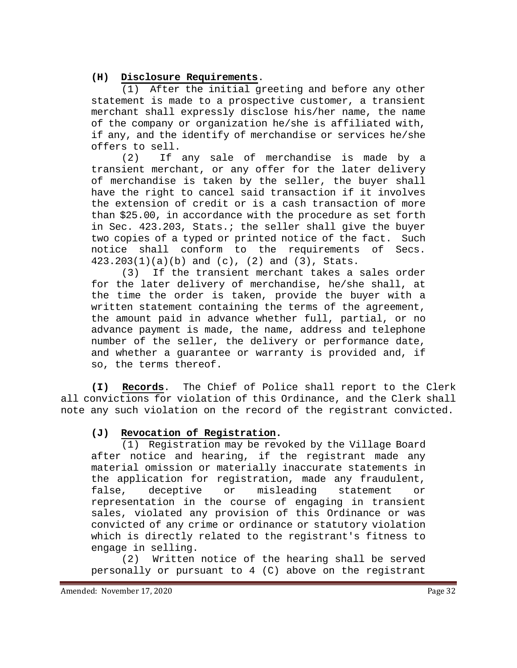### **(H) Disclosure Requirements**.

(1) After the initial greeting and before any other statement is made to a prospective customer, a transient merchant shall expressly disclose his/her name, the name of the company or organization he/she is affiliated with, if any, and the identify of merchandise or services he/she offers to sell.

(2) If any sale of merchandise is made by a transient merchant, or any offer for the later delivery of merchandise is taken by the seller, the buyer shall have the right to cancel said transaction if it involves the extension of credit or is a cash transaction of more than \$25.00, in accordance with the procedure as set forth in Sec. 423.203, Stats.; the seller shall give the buyer two copies of a typed or printed notice of the fact. Such notice shall conform to the requirements of Secs. 423.203(1)(a)(b) and (c), (2) and (3), Stats.

(3) If the transient merchant takes a sales order for the later delivery of merchandise, he/she shall, at the time the order is taken, provide the buyer with a written statement containing the terms of the agreement, the amount paid in advance whether full, partial, or no advance payment is made, the name, address and telephone number of the seller, the delivery or performance date, and whether a guarantee or warranty is provided and, if so, the terms thereof.

**(I) Records**. The Chief of Police shall report to the Clerk all convictions for violation of this Ordinance, and the Clerk shall note any such violation on the record of the registrant convicted.

### **(J) Revocation of Registration.**

(1) Registration may be revoked by the Village Board after notice and hearing, if the registrant made any material omission or materially inaccurate statements in the application for registration, made any fraudulent, false, deceptive or misleading statement or representation in the course of engaging in transient sales, violated any provision of this Ordinance or was convicted of any crime or ordinance or statutory violation which is directly related to the registrant's fitness to engage in selling.

(2) Written notice of the hearing shall be served personally or pursuant to 4 (C) above on the registrant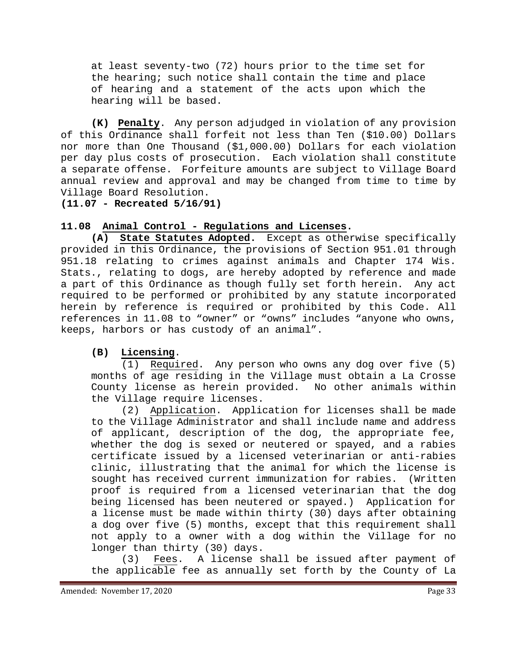at least seventy-two (72) hours prior to the time set for the hearing; such notice shall contain the time and place of hearing and a statement of the acts upon which the hearing will be based.

**(K) Penalty**. Any person adjudged in violation of any provision of this Ordinance shall forfeit not less than Ten (\$10.00) Dollars nor more than One Thousand (\$1,000.00) Dollars for each violation per day plus costs of prosecution. Each violation shall constitute a separate offense. Forfeiture amounts are subject to Village Board annual review and approval and may be changed from time to time by Village Board Resolution.

**(11.07 - Recreated 5/16/91)**

### <span id="page-32-0"></span>**11.08 Animal Control - Regulations and Licenses.**

**(A) State Statutes Adopted.** Except as otherwise specifically provided in this Ordinance, the provisions of Section 951.01 through 951.18 relating to crimes against animals and Chapter 174 Wis. Stats., relating to dogs, are hereby adopted by reference and made<br>a part of this Ordinance as though fully set forth herein. Any act a part of this Ordinance as though fully set forth herein. required to be performed or prohibited by any statute incorporated herein by reference is required or prohibited by this Code. All references in 11.08 to "owner" or "owns" includes "anyone who owns, keeps, harbors or has custody of an animal".

# **(B) Licensing**.

(1) Required. Any person who owns any dog over five (5) months of age residing in the Village must obtain a La Crosse County license as herein provided. No other animals within the Village require licenses.

(2) Application. Application for licenses shall be made to the Village Administrator and shall include name and address of applicant, description of the dog, the appropriate fee, whether the dog is sexed or neutered or spayed, and a rabies certificate issued by a licensed veterinarian or anti-rabies clinic, illustrating that the animal for which the license is sought has received current immunization for rabies. (Written proof is required from a licensed veterinarian that the dog being licensed has been neutered or spayed.) Application for a license must be made within thirty (30) days after obtaining a dog over five (5) months, except that this requirement shall not apply to a owner with a dog within the Village for no

longer than thirty (30) days.<br>(3) Fees. A license s Fees. A license shall be issued after payment of the applicable fee as annually set forth by the County of La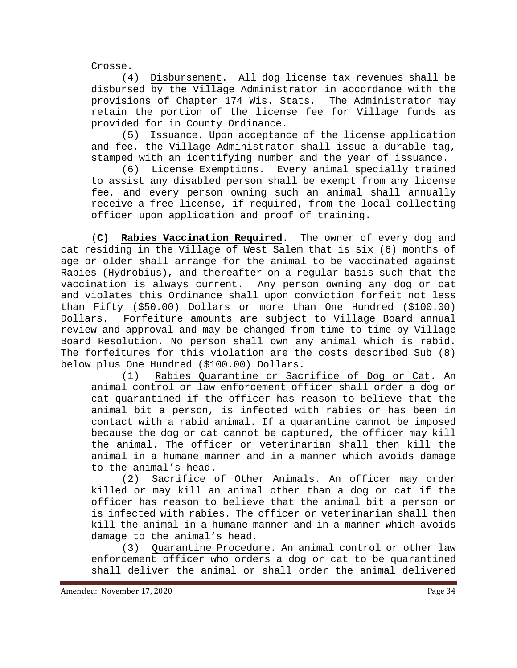Crosse.

(4) Disbursement. All dog license tax revenues shall be disbursed by the Village Administrator in accordance with the provisions of Chapter 174 Wis. Stats. The Administrator may retain the portion of the license fee for Village funds as provided for in County Ordinance.

(5) Issuance. Upon acceptance of the license application and fee, the Village Administrator shall issue a durable tag, stamped with an identifying number and the year of issuance.

(6) License Exemptions. Every animal specially trained to assist any disabled person shall be exempt from any license fee, and every person owning such an animal shall annually receive a free license, if required, from the local collecting officer upon application and proof of training.

(**C) Rabies Vaccination Required**. The owner of every dog and cat residing in the Village of West Salem that is six (6) months of age or older shall arrange for the animal to be vaccinated against Rabies (Hydrobius), and thereafter on a regular basis such that the vaccination is always current. Any person owning any dog or cat and violates this Ordinance shall upon conviction forfeit not less than Fifty (\$50.00) Dollars or more than One Hundred (\$100.00) Dollars. Forfeiture amounts are subject to Village Board annual review and approval and may be changed from time to time by Village Board Resolution. No person shall own any animal which is rabid. The forfeitures for this violation are the costs described Sub (8) below plus One Hundred (\$100.00) Dollars.<br>(1) Rabies Quarantine or Sac

Rabies Quarantine or Sacrifice of Dog or Cat. An animal control or law enforcement officer shall order a dog or cat quarantined if the officer has reason to believe that the animal bit a person, is infected with rabies or has been in contact with a rabid animal. If a quarantine cannot be imposed because the dog or cat cannot be captured, the officer may kill the animal. The officer or veterinarian shall then kill the animal in a humane manner and in a manner which avoids damage to the animal's head.

(2) Sacrifice of Other Animals. An officer may order killed or may kill an animal other than a dog or cat if the officer has reason to believe that the animal bit a person or is infected with rabies. The officer or veterinarian shall then kill the animal in a humane manner and in a manner which avoids damage to the animal's head.

(3) Quarantine Procedure. An animal control or other law enforcement officer who orders a dog or cat to be quarantined shall deliver the animal or shall order the animal delivered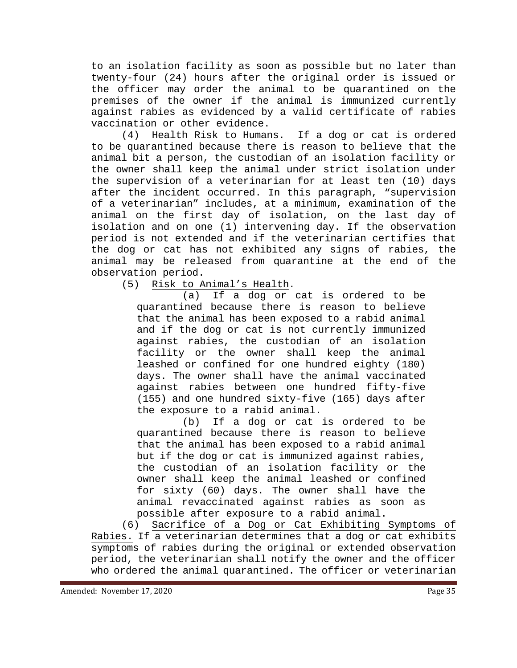to an isolation facility as soon as possible but no later than twenty-four (24) hours after the original order is issued or the officer may order the animal to be quarantined on the premises of the owner if the animal is immunized currently against rabies as evidenced by a valid certificate of rabies vaccination or other evidence.

(4) Health Risk to Humans. If a dog or cat is ordered to be quarantined because there is reason to believe that the animal bit a person, the custodian of an isolation facility or the owner shall keep the animal under strict isolation under the supervision of a veterinarian for at least ten (10) days after the incident occurred. In this paragraph, "supervision of a veterinarian" includes, at a minimum, examination of the animal on the first day of isolation, on the last day of isolation and on one (1) intervening day. If the observation period is not extended and if the veterinarian certifies that the dog or cat has not exhibited any signs of rabies, the animal may be released from quarantine at the end of the observation period.<br>(5) Risk to A

Risk to Animal's Health.

(a) If a dog or cat is ordered to be quarantined because there is reason to believe that the animal has been exposed to a rabid animal and if the dog or cat is not currently immunized against rabies, the custodian of an isolation facility or the owner shall keep the animal leashed or confined for one hundred eighty (180) days. The owner shall have the animal vaccinated against rabies between one hundred fifty-five (155) and one hundred sixty-five (165) days after the exposure to a rabid animal.

(b) If a dog or cat is ordered to be quarantined because there is reason to believe that the animal has been exposed to a rabid animal but if the dog or cat is immunized against rabies, the custodian of an isolation facility or the owner shall keep the animal leashed or confined for sixty (60) days. The owner shall have the animal revaccinated against rabies as soon as possible after exposure to a rabid animal.

(6) Sacrifice of a Dog or Cat Exhibiting Symptoms of Rabies. If a veterinarian determines that a dog or cat exhibits symptoms of rabies during the original or extended observation period, the veterinarian shall notify the owner and the officer who ordered the animal quarantined. The officer or veterinarian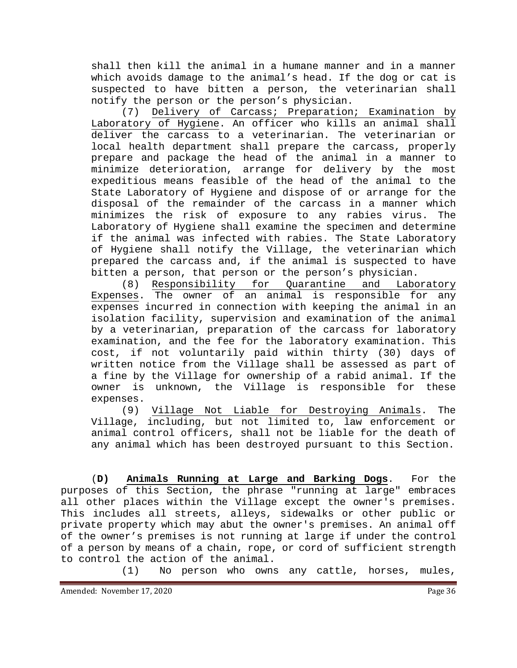shall then kill the animal in a humane manner and in a manner which avoids damage to the animal's head. If the dog or cat is suspected to have bitten a person, the veterinarian shall

notify the person or the person's physician.<br>(7) Delivery of Carcass; Preparation Delivery of Carcass; Preparation; Examination by Laboratory of Hygiene. An officer who kills an animal shall deliver the carcass to a veterinarian. The veterinarian or local health department shall prepare the carcass, properly prepare and package the head of the animal in a manner to minimize deterioration, arrange for delivery by the most expeditious means feasible of the head of the animal to the State Laboratory of Hygiene and dispose of or arrange for the disposal of the remainder of the carcass in a manner which minimizes the risk of exposure to any rabies virus. The Laboratory of Hygiene shall examine the specimen and determine if the animal was infected with rabies. The State Laboratory of Hygiene shall notify the Village, the veterinarian which prepared the carcass and, if the animal is suspected to have bitten a person, that person or the person's physician.<br>(8) Responsibility for Quarantine and Laboratory

Responsibility for Quarantine and Expenses. The owner of an animal is responsible for any expenses incurred in connection with keeping the animal in an isolation facility, supervision and examination of the animal by a veterinarian, preparation of the carcass for laboratory examination, and the fee for the laboratory examination. This cost, if not voluntarily paid within thirty (30) days of written notice from the Village shall be assessed as part of a fine by the Village for ownership of a rabid animal. If the owner is unknown, the Village is responsible for these expenses.

(9) Village Not Liable for Destroying Animals. The Village, including, but not limited to, law enforcement or animal control officers, shall not be liable for the death of any animal which has been destroyed pursuant to this Section.

(**D) Animals Running at Large and Barking Dogs**. For the purposes of this Section, the phrase "running at large" embraces all other places within the Village except the owner's premises. This includes all streets, alleys, sidewalks or other public or private property which may abut the owner's premises. An animal off of the owner's premises is not running at large if under the control of a person by means of a chain, rope, or cord of sufficient strength to control the action of the animal.<br>(1) No person who owns

No person who owns any cattle, horses, mules,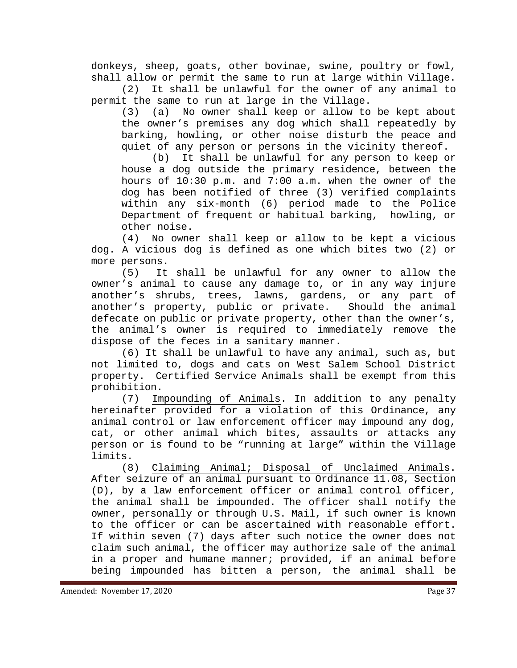donkeys, sheep, goats, other bovinae, swine, poultry or fowl,

shall allow or permit the same to run at large within Village.<br>(2) It shall be unlawful for the owner of anv animal to It shall be unlawful for the owner of any animal to permit the same to run at large in the Village.<br>(3) (a) No owner shall keep or allow to

No owner shall keep or allow to be kept about the owner's premises any dog which shall repeatedly by barking, howling, or other noise disturb the peace and quiet of any person or persons in the vicinity thereof.

(b) It shall be unlawful for any person to keep or house a dog outside the primary residence, between the hours of 10:30 p.m. and 7:00 a.m. when the owner of the dog has been notified of three (3) verified complaints within any six-month (6) period made to the Police Department of frequent or habitual barking, howling, or other noise.

(4) No owner shall keep or allow to be kept a vicious dog. A vicious dog is defined as one which bites two (2) or more persons.<br>(5) It

It shall be unlawful for any owner to allow the owner's animal to cause any damage to, or in any way injure another's shrubs, trees, lawns, gardens, or any part of<br>another's property, public or private. Should the animal another's property, public or private. defecate on public or private property, other than the owner's, the animal's owner is required to immediately remove the dispose of the feces in a sanitary manner.

(6) It shall be unlawful to have any animal, such as, but not limited to, dogs and cats on West Salem School District property. Certified Service Animals shall be exempt from this prohibition.

(7) Impounding of Animals. In addition to any penalty hereinafter provided for a violation of this Ordinance, any animal control or law enforcement officer may impound any dog, cat, or other animal which bites, assaults or attacks any person or is found to be "running at large" within the Village

limits.<br>(8) Claiming Animal; Disposal of Unclaimed Animals. After seizure of an animal pursuant to Ordinance 11.08, Section (D), by a law enforcement officer or animal control officer, the animal shall be impounded. The officer shall notify the owner, personally or through U.S. Mail, if such owner is known to the officer or can be ascertained with reasonable effort. If within seven (7) days after such notice the owner does not claim such animal, the officer may authorize sale of the animal in a proper and humane manner; provided, if an animal before being impounded has bitten a person, the animal shall be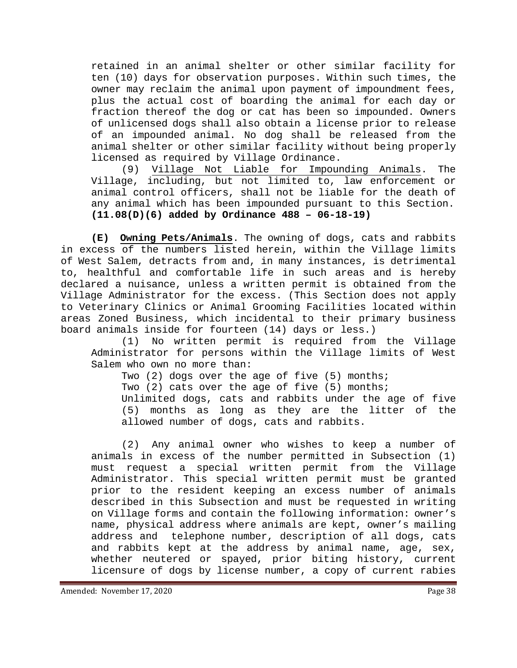retained in an animal shelter or other similar facility for ten (10) days for observation purposes. Within such times, the owner may reclaim the animal upon payment of impoundment fees, plus the actual cost of boarding the animal for each day or fraction thereof the dog or cat has been so impounded. Owners of unlicensed dogs shall also obtain a license prior to release of an impounded animal. No dog shall be released from the animal shelter or other similar facility without being properly licensed as required by Village Ordinance.

(9) Village Not Liable for Impounding Animals. The Village, including, but not limited to, law enforcement or animal control officers, shall not be liable for the death of any animal which has been impounded pursuant to this Section. **(11.08(D)(6) added by Ordinance 488 – 06-18-19)**

**(E) Owning Pets/Animals**. The owning of dogs, cats and rabbits in excess of the numbers listed herein, within the Village limits of West Salem, detracts from and, in many instances, is detrimental to, healthful and comfortable life in such areas and is hereby declared a nuisance, unless a written permit is obtained from the Village Administrator for the excess. (This Section does not apply to Veterinary Clinics or Animal Grooming Facilities located within areas Zoned Business, which incidental to their primary business board animals inside for fourteen (14) days or less.)

(1) No written permit is required from the Village Administrator for persons within the Village limits of West Salem who own no more than:

Two (2) dogs over the age of five (5) months;

Two (2) cats over the age of five (5) months;

Unlimited dogs, cats and rabbits under the age of five (5) months as long as they are the litter of the allowed number of dogs, cats and rabbits.

(2) Any animal owner who wishes to keep a number of animals in excess of the number permitted in Subsection (1) must request a special written permit from the Village Administrator. This special written permit must be granted prior to the resident keeping an excess number of animals described in this Subsection and must be requested in writing on Village forms and contain the following information: owner's name, physical address where animals are kept, owner's mailing address and telephone number, description of all dogs, cats and rabbits kept at the address by animal name, age, sex, whether neutered or spayed, prior biting history, current licensure of dogs by license number, a copy of current rabies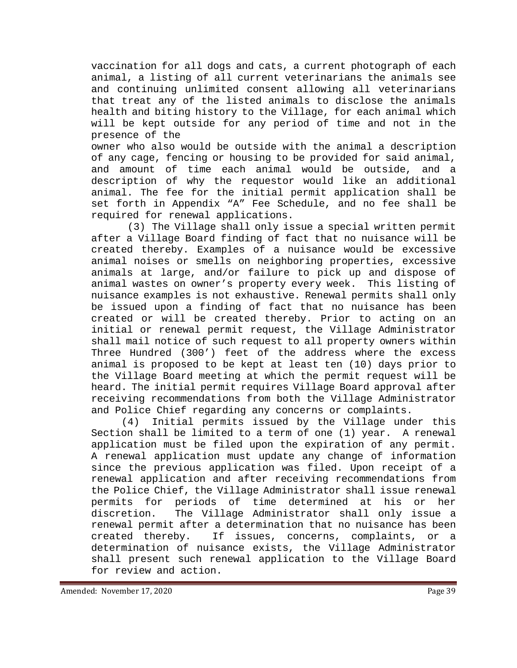vaccination for all dogs and cats, a current photograph of each animal, a listing of all current veterinarians the animals see and continuing unlimited consent allowing all veterinarians that treat any of the listed animals to disclose the animals health and biting history to the Village, for each animal which will be kept outside for any period of time and not in the presence of the

owner who also would be outside with the animal a description of any cage, fencing or housing to be provided for said animal, and amount of time each animal would be outside, and a description of why the requestor would like an additional animal. The fee for the initial permit application shall be set forth in Appendix "A" Fee Schedule, and no fee shall be required for renewal applications.

(3) The Village shall only issue a special written permit after a Village Board finding of fact that no nuisance will be created thereby. Examples of a nuisance would be excessive animal noises or smells on neighboring properties, excessive animals at large, and/or failure to pick up and dispose of animal wastes on owner's property every week. This listing of nuisance examples is not exhaustive. Renewal permits shall only be issued upon a finding of fact that no nuisance has been created or will be created thereby. Prior to acting on an initial or renewal permit request, the Village Administrator shall mail notice of such request to all property owners within Three Hundred (300') feet of the address where the excess animal is proposed to be kept at least ten (10) days prior to the Village Board meeting at which the permit request will be heard. The initial permit requires Village Board approval after receiving recommendations from both the Village Administrator and Police Chief regarding any concerns or complaints.

(4) Initial permits issued by the Village under this Section shall be limited to a term of one (1) year. A renewal application must be filed upon the expiration of any permit. A renewal application must update any change of information since the previous application was filed. Upon receipt of a renewal application and after receiving recommendations from the Police Chief, the Village Administrator shall issue renewal permits for periods of time determined at his or her discretion. The Village Administrator shall only issue a renewal permit after a determination that no nuisance has been created thereby. If issues, concerns, complaints, or a determination of nuisance exists, the Village Administrator shall present such renewal application to the Village Board for review and action.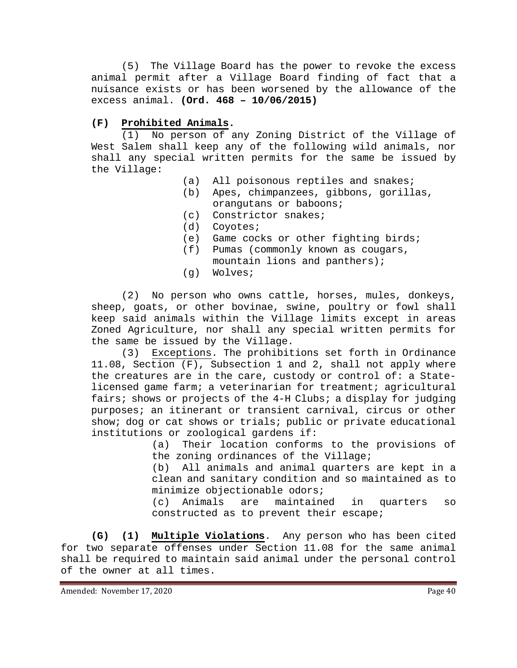(5) The Village Board has the power to revoke the excess animal permit after a Village Board finding of fact that a nuisance exists or has been worsened by the allowance of the excess animal. **(Ord. 468 – 10/06/2015)**

## **(F) Prohibited Animals.**

(1) No person of any Zoning District of the Village of West Salem shall keep any of the following wild animals, nor shall any special written permits for the same be issued by the Village:

- (a) All poisonous reptiles and snakes;
- (b) Apes, chimpanzees, gibbons, gorillas, orangutans or baboons;
- (c) Constrictor snakes;
- (d) Coyotes;
- (e) Game cocks or other fighting birds;
- (f) Pumas (commonly known as cougars, mountain lions and panthers);
- (g) Wolves;

(2) No person who owns cattle, horses, mules, donkeys, sheep, goats, or other bovinae, swine, poultry or fowl shall keep said animals within the Village limits except in areas Zoned Agriculture, nor shall any special written permits for the same be issued by the Village.

(3) Exceptions. The prohibitions set forth in Ordinance 11.08, Section (F), Subsection 1 and 2, shall not apply where the creatures are in the care, custody or control of: a Statelicensed game farm; a veterinarian for treatment; agricultural fairs; shows or projects of the 4-H Clubs; a display for judging purposes; an itinerant or transient carnival, circus or other show; dog or cat shows or trials; public or private educational institutions or zoological gardens if:<br>(a) Their location conform

Their location conforms to the provisions of the zoning ordinances of the Village;<br>(b) All animals and animal quarters

All animals and animal quarters are kept in a clean and sanitary condition and so maintained as to minimize objectionable odors;

(c) Animals are maintained in quarters so constructed as to prevent their escape;

**(G) (1) Multiple Violations**. Any person who has been cited for two separate offenses under Section 11.08 for the same animal shall be required to maintain said animal under the personal control of the owner at all times.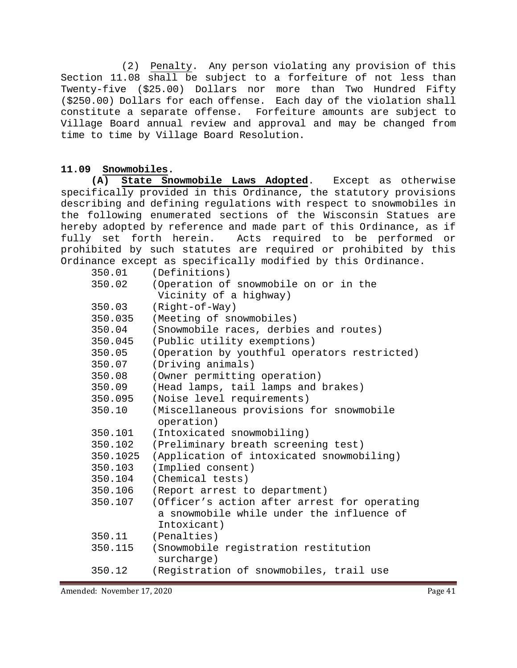(2) Penalty. Any person violating any provision of this Section 11.08 shall be subject to a forfeiture of not less than Twenty-five (\$25.00) Dollars nor more than Two Hundred Fifty (\$250.00) Dollars for each offense. Each day of the violation shall constitute a separate offense. Forfeiture amounts are subject to Village Board annual review and approval and may be changed from time to time by Village Board Resolution.

### **11.09 Snowmobiles.**

**(A) State Snowmobile Laws Adopted**. Except as otherwise specifically provided in this Ordinance, the statutory provisions describing and defining regulations with respect to snowmobiles in the following enumerated sections of the Wisconsin Statues are hereby adopted by reference and made part of this Ordinance, as if fully set forth herein. Acts required to be performed or prohibited by such statutes are required or prohibited by this Ordinance except as specifically modified by this Ordinance.

| 350.01   | (Definitions)                                      |
|----------|----------------------------------------------------|
| 350.02   | (Operation of snowmobile on or in the              |
|          | Vicinity of a highway)                             |
| 350.03   | (Right-of-Way)                                     |
| 350.035  | (Meeting of snowmobiles)                           |
| 350.04   | (Snowmobile races, derbies and routes)             |
| 350.045  | (Public utility exemptions)                        |
| 350.05   | (Operation by youthful operators restricted)       |
| 350.07   | (Driving animals)                                  |
| 350.08   | (Owner permitting operation)                       |
| 350.09   | (Head lamps, tail lamps and brakes)                |
| 350.095  | (Noise level requirements)                         |
| 350.10   | (Miscellaneous provisions for snowmobile           |
|          | operation)                                         |
| 350.101  | (Intoxicated snowmobiling)                         |
| 350.102  | (Preliminary breath screening test)                |
| 350.1025 | (Application of intoxicated snowmobiling)          |
| 350.103  | (Implied consent)                                  |
| 350.104  | (Chemical tests)                                   |
| 350.106  | (Report arrest to department)                      |
| 350.107  | (Officer's action after arrest for operating       |
|          | a snowmobile while under the influence of          |
|          | Intoxicant)                                        |
| 350.11   | (Penalties)                                        |
| 350.115  | (Snowmobile registration restitution<br>surcharge) |
| 350.12   | (Registration of snowmobiles, trail use            |
|          |                                                    |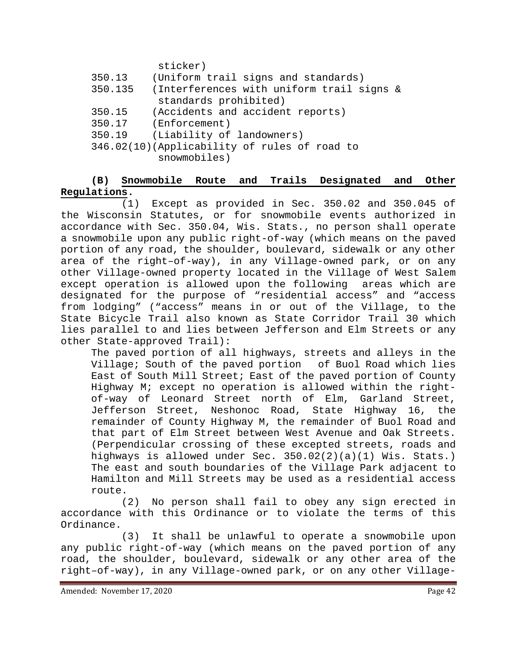sticker)

| 350.13  | (Uniform trail signs and standards)          |
|---------|----------------------------------------------|
| 350.135 | (Interferences with uniform trail signs &    |
|         | standards prohibited)                        |
| 350.15  | (Accidents and accident reports)             |
| 350.17  | (Enforcement)                                |
| 350.19  | (Liability of landowners)                    |
|         | 346.02(10)(Applicability of rules of road to |
|         | snowmobiles)                                 |

## **(B) Snowmobile Route and Trails Designated and Other Regulations.**

(1) Except as provided in Sec. 350.02 and 350.045 of the Wisconsin Statutes, or for snowmobile events authorized in accordance with Sec. 350.04, Wis. Stats., no person shall operate a snowmobile upon any public right-of-way (which means on the paved portion of any road, the shoulder, boulevard, sidewalk or any other area of the right–of-way), in any Village-owned park, or on any other Village-owned property located in the Village of West Salem except operation is allowed upon the following designated for the purpose of "residential access" and "access from lodging" ("access" means in or out of the Village, to the State Bicycle Trail also known as State Corridor Trail 30 which lies parallel to and lies between Jefferson and Elm Streets or any other State-approved Trail):

The paved portion of all highways, streets and alleys in the Village; South of the paved portion of Buol Road which lies East of South Mill Street; East of the paved portion of County Highway M; except no operation is allowed within the rightof-way of Leonard Street north of Elm, Garland Street, Jefferson Street, Neshonoc Road, State Highway 16, the remainder of County Highway M, the remainder of Buol Road and that part of Elm Street between West Avenue and Oak Streets. (Perpendicular crossing of these excepted streets, roads and highways is allowed under Sec. 350.02(2)(a)(1) Wis. Stats.) The east and south boundaries of the Village Park adjacent to Hamilton and Mill Streets may be used as a residential access route.

(2) No person shall fail to obey any sign erected in accordance with this Ordinance or to violate the terms of this Ordinance.

(3) It shall be unlawful to operate a snowmobile upon any public right-of-way (which means on the paved portion of any road, the shoulder, boulevard, sidewalk or any other area of the right–of-way), in any Village-owned park, or on any other Village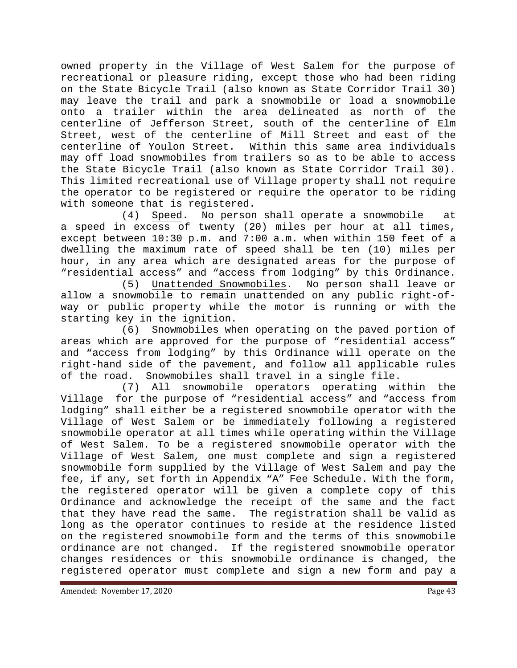owned property in the Village of West Salem for the purpose of recreational or pleasure riding, except those who had been riding on the State Bicycle Trail (also known as State Corridor Trail 30) may leave the trail and park a snowmobile or load a snowmobile onto a trailer within the area delineated as north of the centerline of Jefferson Street, south of the centerline of Elm Street, west of the centerline of Mill Street and east of the centerline of Youlon Street. Within this same area individuals may off load snowmobiles from trailers so as to be able to access the State Bicycle Trail (also known as State Corridor Trail 30). This limited recreational use of Village property shall not require the operator to be registered or require the operator to be riding with someone that is registered.

(4) Speed. No person shall operate a snowmobile at a speed in excess of twenty (20) miles per hour at all times, except between 10:30 p.m. and 7:00 a.m. when within 150 feet of a dwelling the maximum rate of speed shall be ten (10) miles per hour, in any area which are designated areas for the purpose of "residential access" and "access from lodging" by this Ordinance.

Unattended Snowmobiles. No person shall leave or allow a snowmobile to remain unattended on any public right-ofway or public property while the motor is running or with the starting key in the ignition.

(6) Snowmobiles when operating on the paved portion of areas which are approved for the purpose of "residential access" and "access from lodging" by this Ordinance will operate on the right-hand side of the pavement, and follow all applicable rules<br>of the road. Snowmobiles shall travel in a single file. Snowmobiles shall travel in a single file.

(7) All snowmobile operators operating within the Village for the purpose of "residential access" and "access from lodging" shall either be a registered snowmobile operator with the Village of West Salem or be immediately following a registered snowmobile operator at all times while operating within the Village of West Salem. To be a registered snowmobile operator with the Village of West Salem, one must complete and sign a registered snowmobile form supplied by the Village of West Salem and pay the fee, if any, set forth in Appendix "A" Fee Schedule. With the form, the registered operator will be given a complete copy of this Ordinance and acknowledge the receipt of the same and the fact that they have read the same. The registration shall be valid as long as the operator continues to reside at the residence listed on the registered snowmobile form and the terms of this snowmobile ordinance are not changed. If the registered snowmobile operator changes residences or this snowmobile ordinance is changed, the registered operator must complete and sign a new form and pay a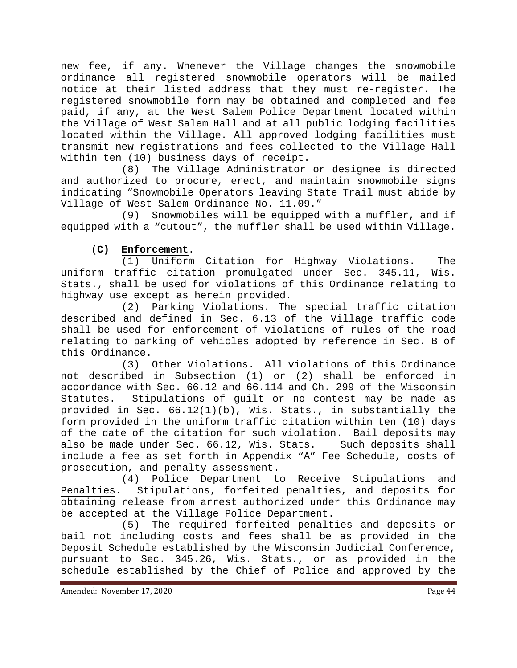new fee, if any. Whenever the Village changes the snowmobile ordinance all registered snowmobile operators will be mailed notice at their listed address that they must re-register. The registered snowmobile form may be obtained and completed and fee paid, if any, at the West Salem Police Department located within the Village of West Salem Hall and at all public lodging facilities located within the Village. All approved lodging facilities must transmit new registrations and fees collected to the Village Hall within ten (10) business days of receipt.

(8) The Village Administrator or designee is directed and authorized to procure, erect, and maintain snowmobile signs indicating "Snowmobile Operators leaving State Trail must abide by Village of West Salem Ordinance No. 11.09."

(9) Snowmobiles will be equipped with a muffler, and if equipped with a "cutout", the muffler shall be used within Village.

### (**C) Enforcement.**

(1) Uniform Citation for Highway Violations. The uniform traffic citation promulgated under Sec. 345.11, Wis. Stats., shall be used for violations of this Ordinance relating to highway use except as herein provided.

(2) Parking Violations. The special traffic citation described and defined in Sec. 6.13 of the Village traffic code shall be used for enforcement of violations of rules of the road relating to parking of vehicles adopted by reference in Sec. B of this Ordinance.

(3) Other Violations. All violations of this Ordinance not described in Subsection (1) or (2) shall be enforced in accordance with Sec. 66.12 and 66.114 and Ch. 299 of the Wisconsin Statutes. Stipulations of guilt or no contest may be made as provided in Sec.  $66.12(1)(b)$ , Wis. Stats., in substantially the form provided in the uniform traffic citation within ten (10) days of the date of the citation for such violation. Bail deposits may<br>also be made under Sec. 66.12, Wis. Stats. Such deposits shall also be made under Sec. 66.12, Wis. Stats. include a fee as set forth in Appendix "A" Fee Schedule, costs of prosecution, and penalty assessment.

(4) Police Department to Receive Stipulations and Penalties. Stipulations, forfeited penalties, and deposits for obtaining release from arrest authorized under this Ordinance may be accepted at the Village Police Department.

(5) The required forfeited penalties and deposits or bail not including costs and fees shall be as provided in the Deposit Schedule established by the Wisconsin Judicial Conference, pursuant to Sec. 345.26, Wis. Stats., or as provided in the schedule established by the Chief of Police and approved by the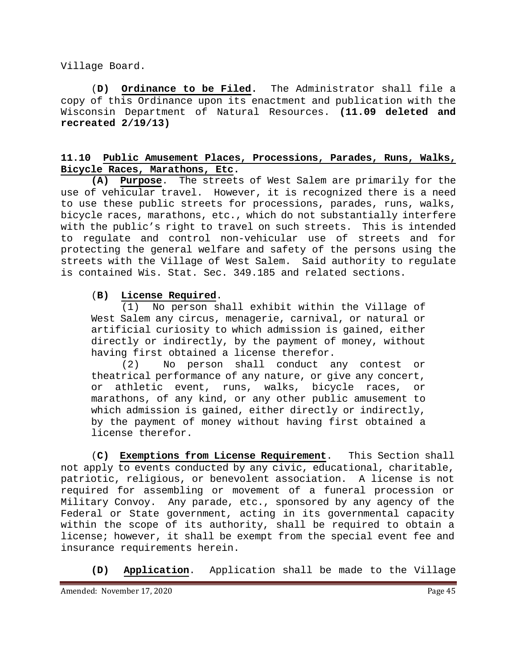Village Board.

(**D) Ordinance to be Filed.** The Administrator shall file a copy of this Ordinance upon its enactment and publication with the Wisconsin Department of Natural Resources. **(11.09 deleted and recreated 2/19/13)**

#### **11.10 Public Amusement Places, Processions, Parades, Runs, Walks, Bicycle Races, Marathons, Etc.**

**(A) Purpose**. The streets of West Salem are primarily for the use of vehicular travel. However, it is recognized there is a need to use these public streets for processions, parades, runs, walks, bicycle races, marathons, etc., which do not substantially interfere with the public's right to travel on such streets. This is intended to regulate and control non-vehicular use of streets and for protecting the general welfare and safety of the persons using the streets with the Village of West Salem. Said authority to regulate is contained Wis. Stat. Sec. 349.185 and related sections.

#### (**B) License Required**.

(1) No person shall exhibit within the Village of West Salem any circus, menagerie, carnival, or natural or artificial curiosity to which admission is gained, either directly or indirectly, by the payment of money, without having first obtained a license therefor.<br>(2) No person shall conduct a

No person shall conduct any contest or theatrical performance of any nature, or give any concert, or athletic event, runs, walks, bicycle races, or marathons, of any kind, or any other public amusement to which admission is gained, either directly or indirectly, by the payment of money without having first obtained a license therefor.

(**C) Exemptions from License Requirement**. This Section shall not apply to events conducted by any civic, educational, charitable, patriotic, religious, or benevolent association. A license is not required for assembling or movement of a funeral procession or Military Convoy. Any parade, etc., sponsored by any agency of the Federal or State government, acting in its governmental capacity within the scope of its authority, shall be required to obtain a license; however, it shall be exempt from the special event fee and insurance requirements herein.

**(D) Application**. Application shall be made to the Village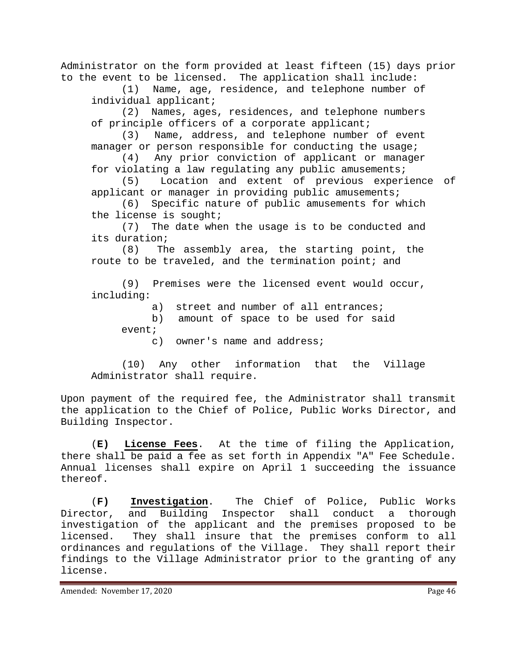Administrator on the form provided at least fifteen (15) days prior to the event to be licensed. The application shall include:

(1) Name, age, residence, and telephone number of individual applicant;<br>(2) Names, ages

Names, ages, residences, and telephone numbers of principle officers of a corporate applicant;

(3) Name, address, and telephone number of event manager or person responsible for conducting the usage;

(4) Any prior conviction of applicant or manager for violating a law regulating any public amusements;<br>(5) Location and extent of previous experi

Location and extent of previous experience of applicant or manager in providing public amusements;<br>(6) Specific nature of public amusements for w

Specific nature of public amusements for which the license is sought;

(7) The date when the usage is to be conducted and its duration;

(8) The assembly area, the starting point, the route to be traveled, and the termination point; and

(9) Premises were the licensed event would occur, including:

a) street and number of all entrances;

- b) amount of space to be used for said event;
	- c) owner's name and address;

(10) Any other information that the Village Administrator shall require.

Upon payment of the required fee, the Administrator shall transmit the application to the Chief of Police, Public Works Director, and Building Inspector.

(**E) License Fees**. At the time of filing the Application, there shall be paid a fee as set forth in Appendix "A" Fee Schedule. Annual licenses shall expire on April 1 succeeding the issuance thereof.

(**F) Investigation**. The Chief of Police, Public Works Director, and Building Inspector shall conduct a thorough investigation of the applicant and the premises proposed to be licensed. They shall insure that the premises conform to all ordinances and regulations of the Village. They shall report their findings to the Village Administrator prior to the granting of any license.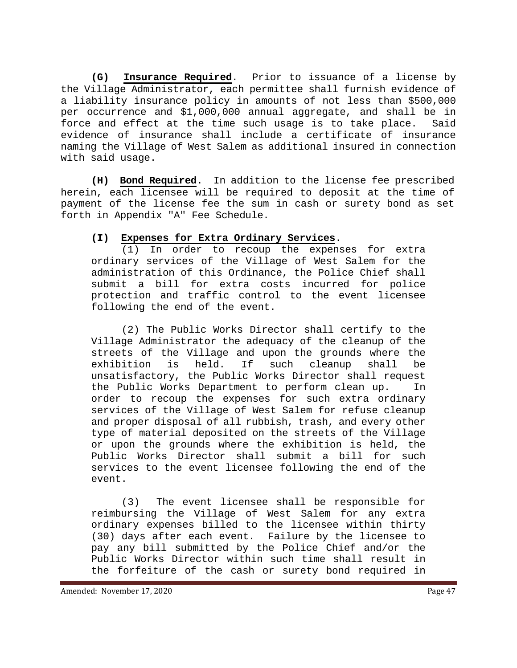**(G) Insurance Required**. Prior to issuance of a license by the Village Administrator, each permittee shall furnish evidence of a liability insurance policy in amounts of not less than \$500,000 per occurrence and \$1,000,000 annual aggregate, and shall be in force and effect at the time such usage is to take place. Said evidence of insurance shall include a certificate of insurance naming the Village of West Salem as additional insured in connection with said usage.

**(H) Bond Required**. In addition to the license fee prescribed herein, each licensee will be required to deposit at the time of payment of the license fee the sum in cash or surety bond as set forth in Appendix "A" Fee Schedule.

### **(I) Expenses for Extra Ordinary Services**.

(1) In order to recoup the expenses for extra ordinary services of the Village of West Salem for the administration of this Ordinance, the Police Chief shall submit a bill for extra costs incurred for police protection and traffic control to the event licensee following the end of the event.

(2) The Public Works Director shall certify to the Village Administrator the adequacy of the cleanup of the streets of the Village and upon the grounds where the<br>exhibition is held. If such cleanup shall be exhibition is held. If such cleanup shall be unsatisfactory, the Public Works Director shall request the Public Works Department to perform clean up. In order to recoup the expenses for such extra ordinary services of the Village of West Salem for refuse cleanup and proper disposal of all rubbish, trash, and every other type of material deposited on the streets of the Village or upon the grounds where the exhibition is held, the Public Works Director shall submit a bill for such services to the event licensee following the end of the event.

(3) The event licensee shall be responsible for reimbursing the Village of West Salem for any extra ordinary expenses billed to the licensee within thirty (30) days after each event. Failure by the licensee to pay any bill submitted by the Police Chief and/or the Public Works Director within such time shall result in the forfeiture of the cash or surety bond required in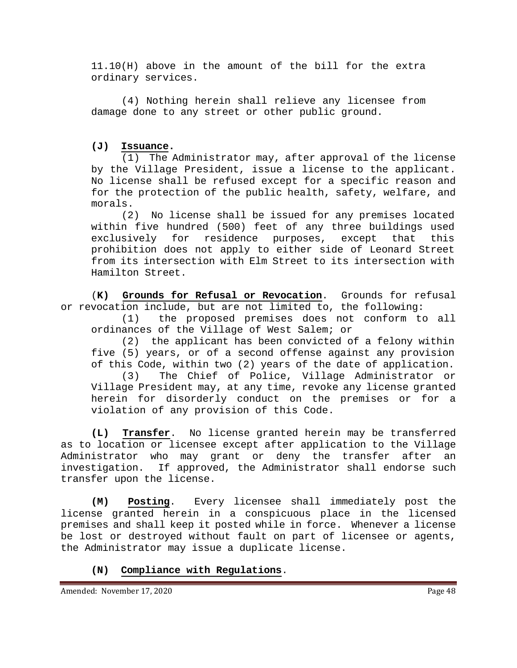11.10(H) above in the amount of the bill for the extra ordinary services.

(4) Nothing herein shall relieve any licensee from damage done to any street or other public ground.

#### **(J) Issuance.**

(1) The Administrator may, after approval of the license by the Village President, issue a license to the applicant. No license shall be refused except for a specific reason and for the protection of the public health, safety, welfare, and morals.

(2) No license shall be issued for any premises located within five hundred (500) feet of any three buildings used exclusively for residence purposes, except that this prohibition does not apply to either side of Leonard Street from its intersection with Elm Street to its intersection with Hamilton Street.

(**K) Grounds for Refusal or Revocation**. Grounds for refusal or revocation include, but are not limited to, the following:

(1) the proposed premises does not conform to all ordinances of the Village of West Salem; or

(2) the applicant has been convicted of a felony within five (5) years, or of a second offense against any provision of this Code, within two (2) years of the date of application.<br>(3) The Chief of Police, Village Administrator or

The Chief of Police, Village Administrator or Village President may, at any time, revoke any license granted herein for disorderly conduct on the premises or for a violation of any provision of this Code.

**(L) Transfer**. No license granted herein may be transferred as to location or licensee except after application to the Village Administrator who may grant or deny the transfer after an investigation. If approved, the Administrator shall endorse such transfer upon the license.

**(M) Posting**. Every licensee shall immediately post the license granted herein in a conspicuous place in the licensed premises and shall keep it posted while in force. Whenever a license be lost or destroyed without fault on part of licensee or agents, the Administrator may issue a duplicate license.

# **(N) Compliance with Regulations**.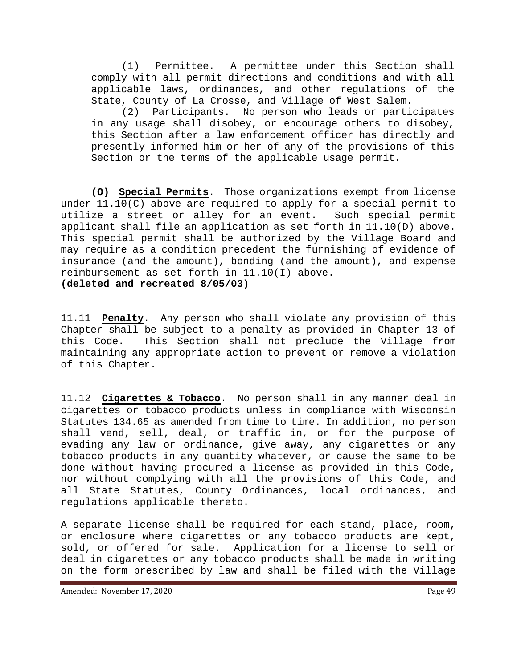(1) Permittee. A permittee under this Section shall comply with all permit directions and conditions and with all applicable laws, ordinances, and other regulations of the State, County of La Crosse, and Village of West Salem.

(2) Participants. No person who leads or participates in any usage shall disobey, or encourage others to disobey, this Section after a law enforcement officer has directly and presently informed him or her of any of the provisions of this Section or the terms of the applicable usage permit.

**(O) Special Permits**. Those organizations exempt from license under 11.10(C) above are required to apply for a special permit to utilize a street or alley for an event. Such special permit applicant shall file an application as set forth in 11.10(D) above. This special permit shall be authorized by the Village Board and may require as a condition precedent the furnishing of evidence of insurance (and the amount), bonding (and the amount), and expense reimbursement as set forth in 11.10(I) above. **(deleted and recreated 8/05/03)**

11.11 **Penalty**. Any person who shall violate any provision of this Chapter shall be subject to a penalty as provided in Chapter 13 of This Section shall not preclude the Village from maintaining any appropriate action to prevent or remove a violation of this Chapter.

11.12 **Cigarettes & Tobacco**. No person shall in any manner deal in cigarettes or tobacco products unless in compliance with Wisconsin Statutes 134.65 as amended from time to time. In addition, no person shall vend, sell, deal, or traffic in, or for the purpose of evading any law or ordinance, give away, any cigarettes or any tobacco products in any quantity whatever, or cause the same to be done without having procured a license as provided in this Code, nor without complying with all the provisions of this Code, and<br>all State Statutes, County Ordinances, local ordinances, and all State Statutes, County Ordinances, local ordinances, regulations applicable thereto.

A separate license shall be required for each stand, place, room, or enclosure where cigarettes or any tobacco products are kept, sold, or offered for sale. Application for a license to sell or deal in cigarettes or any tobacco products shall be made in writing on the form prescribed by law and shall be filed with the Village

Amended: November 17, 2020 **Page 49**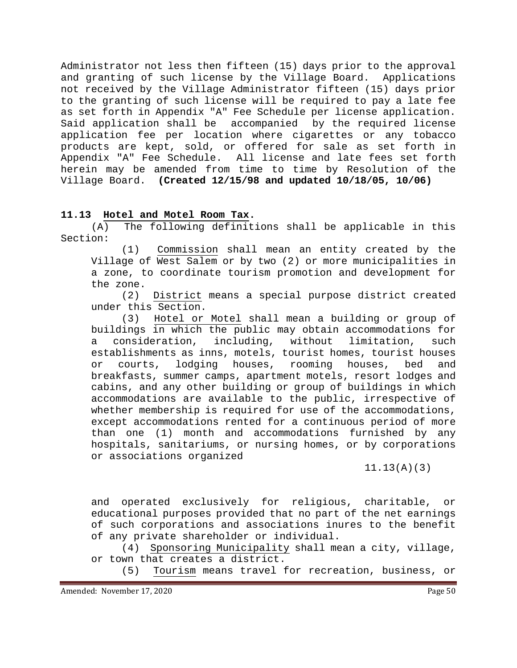Administrator not less then fifteen (15) days prior to the approval and granting of such license by the Village Board. Applications not received by the Village Administrator fifteen (15) days prior to the granting of such license will be required to pay a late fee as set forth in Appendix "A" Fee Schedule per license application. Said application shall be accompanied by the required license application fee per location where cigarettes or any tobacco products are kept, sold, or offered for sale as set forth in Appendix "A" Fee Schedule. All license and late fees set forth herein may be amended from time to time by Resolution of the Village Board. **(Created 12/15/98 and updated 10/18/05, 10/06)**

#### **11.13 Hotel and Motel Room Tax.**

(A) The following definitions shall be applicable in this Section:

(1) Commission shall mean an entity created by the Village of West Salem or by two (2) or more municipalities in a zone, to coordinate tourism promotion and development for the zone.

(2) District means a special purpose district created under this Section.

(3) Hotel or Motel shall mean a building or group of buildings in which the public may obtain accommodations for a consideration, including, without limitation, such establishments as inns, motels, tourist homes, tourist houses or courts, lodging houses, rooming houses, bed and breakfasts, summer camps, apartment motels, resort lodges and cabins, and any other building or group of buildings in which accommodations are available to the public, irrespective of whether membership is required for use of the accommodations, except accommodations rented for a continuous period of more than one (1) month and accommodations furnished by any hospitals, sanitariums, or nursing homes, or by corporations or associations organized

11.13(A)(3)

and operated exclusively for religious, charitable, or educational purposes provided that no part of the net earnings of such corporations and associations inures to the benefit of any private shareholder or individual.

(4) Sponsoring Municipality shall mean a city, village, or town that creates a district.

(5) Tourism means travel for recreation, business, or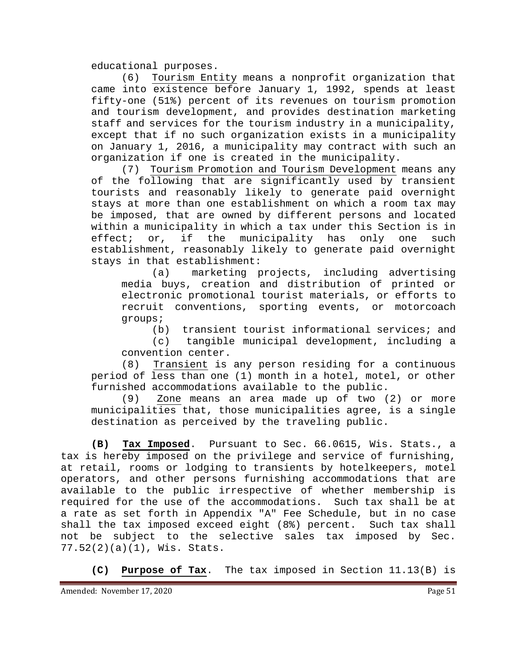educational purposes.

(6) Tourism Entity means a nonprofit organization that came into existence before January 1, 1992, spends at least fifty-one (51%) percent of its revenues on tourism promotion and tourism development, and provides destination marketing staff and services for the tourism industry in a municipality, except that if no such organization exists in a municipality on January 1, 2016, a municipality may contract with such an organization if one is created in the municipality.

(7) Tourism Promotion and Tourism Development means any of the following that are significantly used by transient tourists and reasonably likely to generate paid overnight stays at more than one establishment on which a room tax may be imposed, that are owned by different persons and located within a municipality in which a tax under this Section is in effect; or, if the municipality has only one such establishment, reasonably likely to generate paid overnight stays in that establishment:<br>(a) marketing p

marketing projects, including advertising media buys, creation and distribution of printed or electronic promotional tourist materials, or efforts to recruit conventions, sporting events, or motorcoach groups;

(b) transient tourist informational services; and

(c) tangible municipal development, including a convention center.

(8) Transient is any person residing for a continuous period of less than one (1) month in a hotel, motel, or other furnished accommodations available to the public.

(9) Zone means an area made up of two (2) or more municipalities that, those municipalities agree, is a single destination as perceived by the traveling public.

**(B) Tax Imposed**. Pursuant to Sec. 66.0615, Wis. Stats., a tax is hereby imposed on the privilege and service of furnishing, at retail, rooms or lodging to transients by hotelkeepers, motel operators, and other persons furnishing accommodations that are available to the public irrespective of whether membership is required for the use of the accommodations. Such tax shall be at a rate as set forth in Appendix "A" Fee Schedule, but in no case<br>shall the tax imposed exceed eight (8%) percent. Such tax shall shall the tax imposed exceed eight (8%) percent. not be subject to the selective sales tax imposed by Sec. 77.52(2)(a)(1), Wis. Stats.

**(C) Purpose of Tax**. The tax imposed in Section 11.13(B) is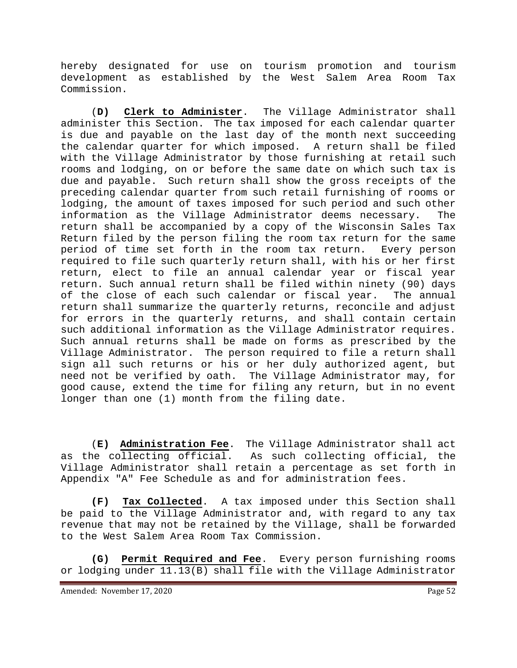hereby designated for use on tourism promotion and tourism development as established by the West Salem Area Room Tax Commission.

(**D) Clerk to Administer**. The Village Administrator shall administer this Section. The tax imposed for each calendar quarter is due and payable on the last day of the month next succeeding the calendar quarter for which imposed. A return shall be filed with the Village Administrator by those furnishing at retail such rooms and lodging, on or before the same date on which such tax is due and payable. Such return shall show the gross receipts of the preceding calendar quarter from such retail furnishing of rooms or lodging, the amount of taxes imposed for such period and such other information as the Village Administrator deems necessary. The return shall be accompanied by a copy of the Wisconsin Sales Tax Return filed by the person filing the room tax return for the same period of time set forth in the room tax return. Every person required to file such quarterly return shall, with his or her first return, elect to file an annual calendar year or fiscal year return. Such annual return shall be filed within ninety (90) days of the close of each such calendar or fiscal year. The annual return shall summarize the quarterly returns, reconcile and adjust for errors in the quarterly returns, and shall contain certain such additional information as the Village Administrator requires. Such annual returns shall be made on forms as prescribed by the Village Administrator. The person required to file a return shall sign all such returns or his or her duly authorized agent, but need not be verified by oath. The Village Administrator may, for good cause, extend the time for filing any return, but in no event longer than one (1) month from the filing date.

(**E) Administration Fee**. The Village Administrator shall act as the collecting official. As such collecting official, the Village Administrator shall retain a percentage as set forth in Appendix "A" Fee Schedule as and for administration fees.

**(F) Tax Collected**. A tax imposed under this Section shall be paid to the Village Administrator and, with regard to any tax revenue that may not be retained by the Village, shall be forwarded to the West Salem Area Room Tax Commission.

**(G) Permit Required and Fee**. Every person furnishing rooms or lodging under 11.13(B) shall file with the Village Administrator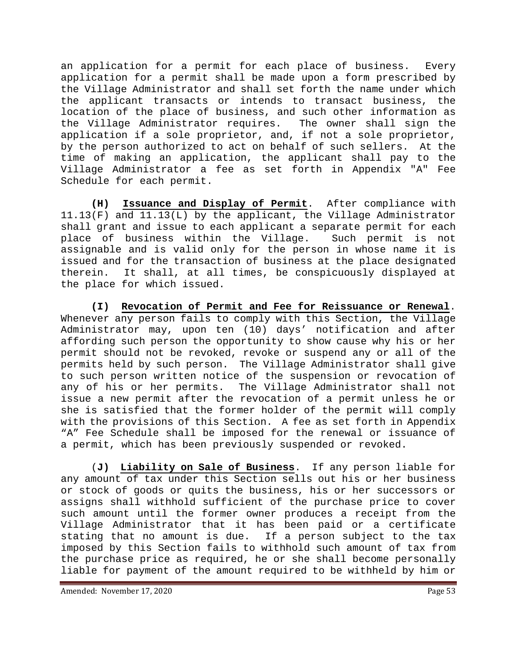an application for a permit for each place of business. Every application for a permit shall be made upon a form prescribed by the Village Administrator and shall set forth the name under which the applicant transacts or intends to transact business, the location of the place of business, and such other information as<br>the Village Administrator requires. The owner shall sign the the Village Administrator requires. application if a sole proprietor, and, if not a sole proprietor, by the person authorized to act on behalf of such sellers. At the time of making an application, the applicant shall pay to the Village Administrator a fee as set forth in Appendix "A" Fee Schedule for each permit.

**(H) Issuance and Display of Permit**. After compliance with 11.13(F) and 11.13(L) by the applicant, the Village Administrator shall grant and issue to each applicant a separate permit for each place of business within the Village. Such permit is not assignable and is valid only for the person in whose name it is issued and for the transaction of business at the place designated therein. It shall, at all times, be conspicuously displayed at the place for which issued.

**(I) Revocation of Permit and Fee for Reissuance or Renewal**. Whenever any person fails to comply with this Section, the Village Administrator may, upon ten (10) days' notification and after affording such person the opportunity to show cause why his or her permit should not be revoked, revoke or suspend any or all of the permits held by such person. The Village Administrator shall give to such person written notice of the suspension or revocation of<br>any of his or her permits. The Village Administrator shall not The Village Administrator shall not issue a new permit after the revocation of a permit unless he or she is satisfied that the former holder of the permit will comply with the provisions of this Section. A fee as set forth in Appendix "A" Fee Schedule shall be imposed for the renewal or issuance of a permit, which has been previously suspended or revoked.

(**J) Liability on Sale of Business**. If any person liable for any amount of tax under this Section sells out his or her business or stock of goods or quits the business, his or her successors or assigns shall withhold sufficient of the purchase price to cover such amount until the former owner produces a receipt from the Village Administrator that it has been paid or a certificate stating that no amount is due. If a person subject to the tax imposed by this Section fails to withhold such amount of tax from the purchase price as required, he or she shall become personally liable for payment of the amount required to be withheld by him or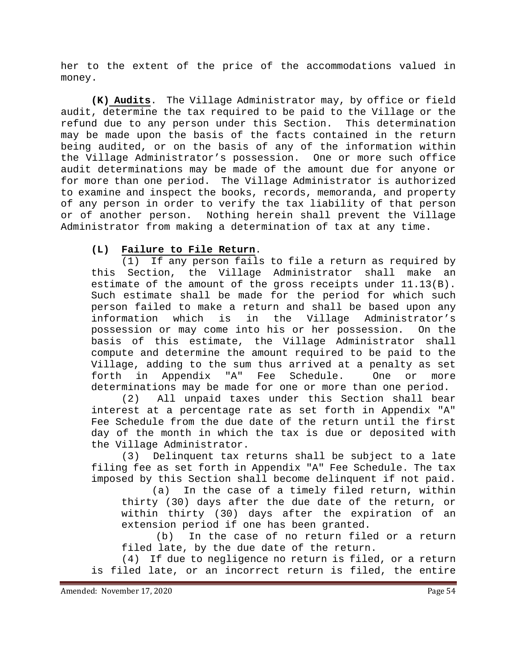her to the extent of the price of the accommodations valued in money.

**(K) Audits**. The Village Administrator may, by office or field audit, determine the tax required to be paid to the Village or the refund due to any person under this Section. This determination may be made upon the basis of the facts contained in the return being audited, or on the basis of any of the information within the Village Administrator's possession. One or more such office audit determinations may be made of the amount due for anyone or for more than one period. The Village Administrator is authorized to examine and inspect the books, records, memoranda, and property of any person in order to verify the tax liability of that person or of another person. Nothing herein shall prevent the Village Administrator from making a determination of tax at any time.

### **(L) Failure to File Return**.

(1) If any person fails to file a return as required by<br>Section, the Village Administrator shall make an this Section, the Village Administrator shall make estimate of the amount of the gross receipts under 11.13(B). Such estimate shall be made for the period for which such person failed to make a return and shall be based upon any information which is in the Village Administrator's possession or may come into his or her possession. On the basis of this estimate, the Village Administrator shall compute and determine the amount required to be paid to the Village, adding to the sum thus arrived at a penalty as set<br>forth in Appendix "A" Fee Schedule. One or more forth in Appendix "A" Fee Schedule. One or more determinations may be made for one or more than one period.

(2) All unpaid taxes under this Section shall bear interest at a percentage rate as set forth in Appendix "A" Fee Schedule from the due date of the return until the first day of the month in which the tax is due or deposited with the Village Administrator.

(3) Delinquent tax returns shall be subject to a late filing fee as set forth in Appendix "A" Fee Schedule. The tax imposed by this Section shall become delinquent if not paid.

(a) In the case of a timely filed return, within thirty (30) days after the due date of the return, or within thirty (30) days after the expiration of an extension period if one has been granted.

(b) In the case of no return filed or a return filed late, by the due date of the return.

(4) If due to negligence no return is filed, or a return is filed late, or an incorrect return is filed, the entire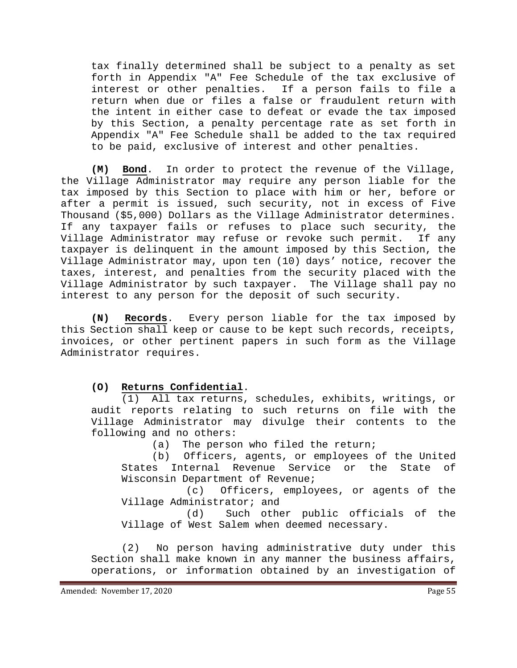tax finally determined shall be subject to a penalty as set forth in Appendix "A" Fee Schedule of the tax exclusive of interest or other penalties. If a person fails to file a return when due or files a false or fraudulent return with the intent in either case to defeat or evade the tax imposed by this Section, a penalty percentage rate as set forth in Appendix "A" Fee Schedule shall be added to the tax required to be paid, exclusive of interest and other penalties.

**(M) Bond**. In order to protect the revenue of the Village, the Village Administrator may require any person liable for the tax imposed by this Section to place with him or her, before or after a permit is issued, such security, not in excess of Five Thousand (\$5,000) Dollars as the Village Administrator determines. If any taxpayer fails or refuses to place such security, the Village Administrator may refuse or revoke such permit. If any taxpayer is delinquent in the amount imposed by this Section, the Village Administrator may, upon ten (10) days' notice, recover the taxes, interest, and penalties from the security placed with the Village Administrator by such taxpayer. The Village shall pay no interest to any person for the deposit of such security.

**(N) Records**. Every person liable for the tax imposed by this Section shall keep or cause to be kept such records, receipts, invoices, or other pertinent papers in such form as the Village Administrator requires.

#### **(O) Returns Confidential**.

(1) All tax returns, schedules, exhibits, writings, or audit reports relating to such returns on file with the Village Administrator may divulge their contents to the following and no others:

(a) The person who filed the return;

(b) Officers, agents, or employees of the United<br>States Internal Revenue Service or the State of Internal Revenue Service or the Wisconsin Department of Revenue;

(c) Officers, employees, or agents of the Village Administrator; and

(d) Such other public officials of the Village of West Salem when deemed necessary.

(2) No person having administrative duty under this Section shall make known in any manner the business affairs, operations, or information obtained by an investigation of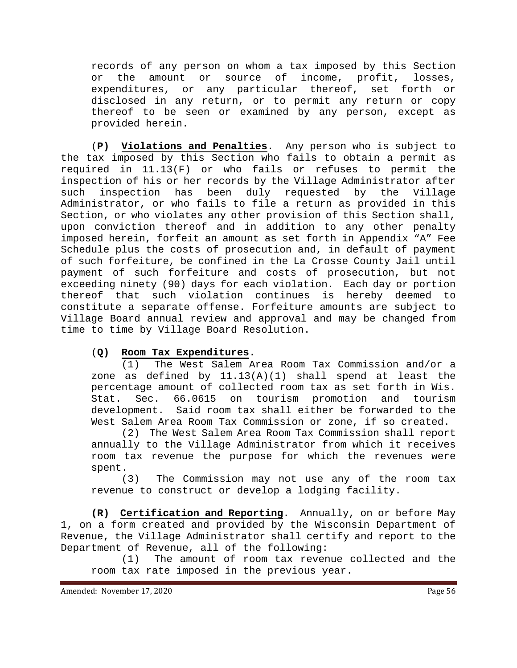records of any person on whom a tax imposed by this Section or the amount or source of income, profit, losses, expenditures, or any particular thereof, set forth or disclosed in any return, or to permit any return or copy thereof to be seen or examined by any person, except as provided herein.

(**P) Violations and Penalties**. Any person who is subject to the tax imposed by this Section who fails to obtain a permit as required in 11.13(F) or who fails or refuses to permit the inspection of his or her records by the Village Administrator after such inspection has been duly requested by the Village Administrator, or who fails to file a return as provided in this Section, or who violates any other provision of this Section shall, upon conviction thereof and in addition to any other penalty imposed herein, forfeit an amount as set forth in Appendix "A" Fee Schedule plus the costs of prosecution and, in default of payment of such forfeiture, be confined in the La Crosse County Jail until payment of such forfeiture and costs of prosecution, but not exceeding ninety (90) days for each violation. Each day or portion thereof that such violation continues is hereby deemed to constitute a separate offense. Forfeiture amounts are subject to Village Board annual review and approval and may be changed from time to time by Village Board Resolution.

# (**Q) Room Tax Expenditures**.

(1) The West Salem Area Room Tax Commission and/or a zone as defined by 11.13(A)(1) shall spend at least the percentage amount of collected room tax as set forth in Wis.<br>Stat. Sec. 66.0615 on tourism promotion and tourism Stat. Sec. 66.0615 on tourism promotion and development. Said room tax shall either be forwarded to the West Salem Area Room Tax Commission or zone, if so created.

(2) The West Salem Area Room Tax Commission shall report annually to the Village Administrator from which it receives room tax revenue the purpose for which the revenues were spent.

(3) The Commission may not use any of the room tax revenue to construct or develop a lodging facility.

**(R) Certification and Reporting**. Annually, on or before May 1, on a form created and provided by the Wisconsin Department of Revenue, the Village Administrator shall certify and report to the Department of Revenue, all of the following:

(1) The amount of room tax revenue collected and the room tax rate imposed in the previous year.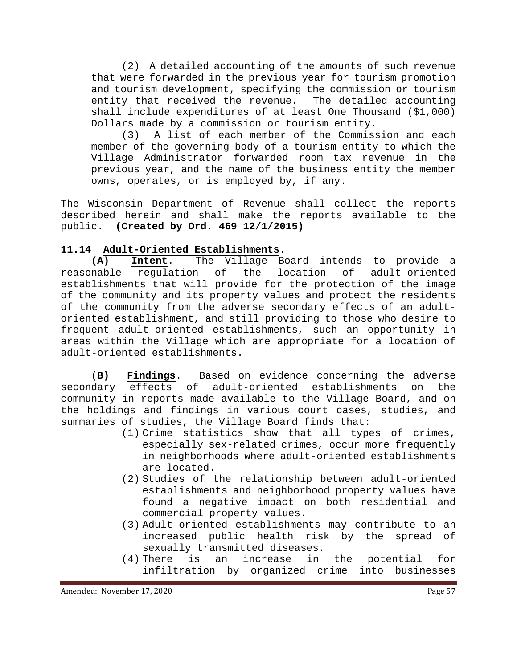(2) A detailed accounting of the amounts of such revenue that were forwarded in the previous year for tourism promotion and tourism development, specifying the commission or tourism entity that received the revenue. The detailed accounting shall include expenditures of at least One Thousand (\$1,000) Dollars made by a commission or tourism entity.

(3) A list of each member of the Commission and each member of the governing body of a tourism entity to which the Village Administrator forwarded room tax revenue in the previous year, and the name of the business entity the member owns, operates, or is employed by, if any.

The Wisconsin Department of Revenue shall collect the reports described herein and shall make the reports available to the public. **(Created by Ord. 469 12/1/2015)**

# **11.14 Adult-Oriented Establishments**.

**(A) Intent**. The Village Board intends to provide a requlation of the location of adult-oriented establishments that will provide for the protection of the image of the community and its property values and protect the residents of the community from the adverse secondary effects of an adultoriented establishment, and still providing to those who desire to frequent adult-oriented establishments, such an opportunity in areas within the Village which are appropriate for a location of adult-oriented establishments.

(**B) Findings**. Based on evidence concerning the adverse secondary effects of adult-oriented establishments on the community in reports made available to the Village Board, and on the holdings and findings in various court cases, studies, and summaries of studies, the Village Board finds that:

- (1) Crime statistics show that all types of crimes, especially sex-related crimes, occur more frequently in neighborhoods where adult-oriented establishments are located.
- (2) Studies of the relationship between adult-oriented establishments and neighborhood property values have found a negative impact on both residential and commercial property values.
- (3) Adult-oriented establishments may contribute to an increased public health risk by the spread of sexually transmitted diseases.
- (4) There is an increase in the potential for infiltration by organized crime into businesses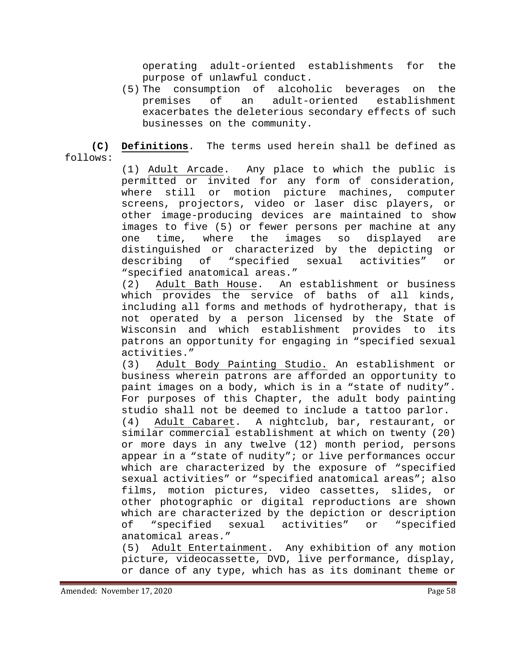operating adult-oriented establishments for the purpose of unlawful conduct.<br>The consumption of alcoholic beverages

(5) The consumption of alcoholic beverages on the of an adult-oriented exacerbates the deleterious secondary effects of such businesses on the community.

**(C) Definitions**. The terms used herein shall be defined as follows:

> (1) Adult Arcade. Any place to which the public is permitted or invited for any form of consideration, where still or motion picture machines, computer screens, projectors, video or laser disc players, or other image-producing devices are maintained to show images to five (5) or fewer persons per machine at any one time, where the images so displayed are distinguished or characterized by the depicting or<br>describing of "specified sexual activities" or describing of "specified sexual activities" or "specified anatomical areas."

> (2) Adult Bath House. An establishment or business which provides the service of baths of all kinds, including all forms and methods of hydrotherapy, that is not operated by a person licensed by the State of Wisconsin and which establishment provides to its patrons an opportunity for engaging in "specified sexual activities."

> (3) Adult Body Painting Studio. An establishment or business wherein patrons are afforded an opportunity to paint images on a body, which is in a "state of nudity". For purposes of this Chapter, the adult body painting studio shall not be deemed to include a tattoo parlor.<br>(4) Adult Cabaret. A nightclub, bar, restaurant, o:

> (4) Adult Cabaret. A nightclub, bar, restaurant, or similar commercial establishment at which on twenty (20) or more days in any twelve (12) month period, persons appear in a "state of nudity"; or live performances occur which are characterized by the exposure of "specified sexual activities" or "specified anatomical areas"; also<br>films, motion pictures, video cassettes, slides, or films, motion pictures, video cassettes, slides, other photographic or digital reproductions are shown which are characterized by the depiction or description<br>of "specified sexual activities" or "specified of "specified sexual activities" or anatomical areas."<br>(5) Adult Enterta

> Adult Entertainment. Any exhibition of any motion picture, videocassette, DVD, live performance, display, or dance of any type, which has as its dominant theme or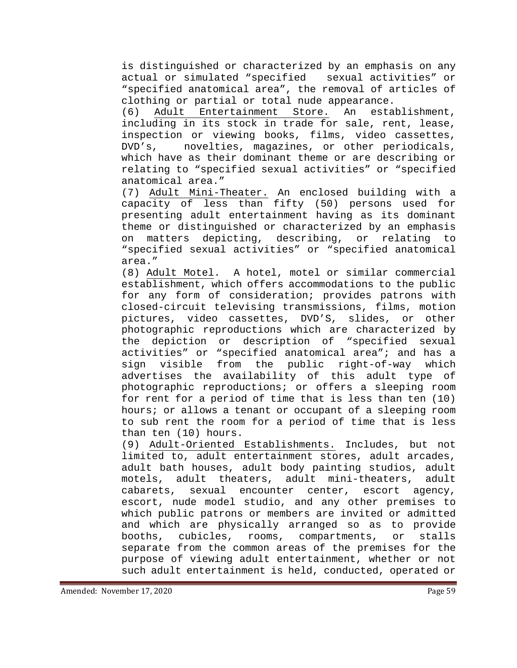is distinguished or characterized by an emphasis on any actual or simulated "specified sexual activities" or "specified anatomical area", the removal of articles of

clothing or partial or total nude appearance.<br>(6) Adult Entertainment Store. An establishment, (6) Adult Entertainment Store. An including in its stock in trade for sale, rent, lease, inspection or viewing books, films, video cassettes, DVD's, novelties, magazines, or other periodicals, which have as their dominant theme or are describing or relating to "specified sexual activities" or "specified anatomical area."

(7) Adult Mini-Theater. An enclosed building with a capacity of less than fifty (50) persons used for presenting adult entertainment having as its dominant theme or distinguished or characterized by an emphasis on matters depicting, describing, or relating to "specified sexual activities" or "specified anatomical area."

(8) Adult Motel. A hotel, motel or similar commercial establishment, which offers accommodations to the public for any form of consideration; provides patrons with closed-circuit televising transmissions, films, motion pictures, video cassettes, DVD'S, slides, or other photographic reproductions which are characterized by the depiction or description of "specified sexual activities" or "specified anatomical area"; and has a sign visible from the public right-of-way which advertises the availability of this adult type of photographic reproductions; or offers a sleeping room for rent for a period of time that is less than ten (10) hours; or allows a tenant or occupant of a sleeping room to sub rent the room for a period of time that is less than ten (10) hours.

(9) Adult-Oriented Establishments. Includes, but not limited to, adult entertainment stores, adult arcades, adult bath houses, adult body painting studios, adult motels, adult theaters, adult mini-theaters, adult cabarets, sexual encounter center, escort agency, escort, nude model studio, and any other premises to which public patrons or members are invited or admitted and which are physically arranged so as to provide booths, cubicles, rooms, compartments, or stalls separate from the common areas of the premises for the purpose of viewing adult entertainment, whether or not such adult entertainment is held, conducted, operated or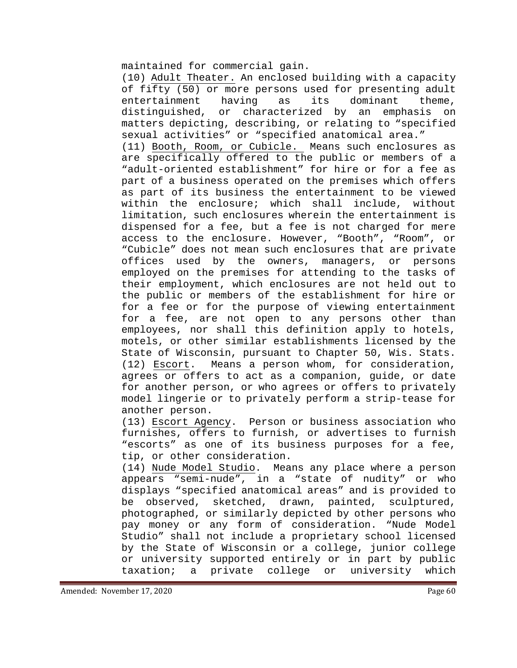maintained for commercial gain.

(10) Adult Theater. An enclosed building with a capacity of fifty (50) or more persons used for presenting adult entertainment having as its dominant theme,<br>distinquished, or characterized by an emphasis on distinguished, or characterized by an emphasis on matters depicting, describing, or relating to "specified sexual activities" or "specified anatomical area."

(11) Booth, Room, or Cubicle. Means such enclosures as are specifically offered to the public or members of a "adult-oriented establishment" for hire or for a fee as part of a business operated on the premises which offers as part of its business the entertainment to be viewed within the enclosure; which shall include, without limitation, such enclosures wherein the entertainment is dispensed for a fee, but a fee is not charged for mere access to the enclosure. However, "Booth", "Room", or "Cubicle" does not mean such enclosures that are private offices used by the owners, managers, or persons employed on the premises for attending to the tasks of their employment, which enclosures are not held out to the public or members of the establishment for hire or for a fee or for the purpose of viewing entertainment for a fee, are not open to any persons other than employees, nor shall this definition apply to hotels, motels, or other similar establishments licensed by the State of Wisconsin, pursuant to Chapter 50, Wis. Stats. (12) Escort. Means a person whom, for consideration, agrees or offers to act as a companion, guide, or date for another person, or who agrees or offers to privately model lingerie or to privately perform a strip-tease for another person.

(13) Escort Agency. Person or business association who furnishes, offers to furnish, or advertises to furnish "escorts" as one of its business purposes for a fee,

tip, or other consideration.<br>(14) Nude Model Studio. Mea Means any place where a person appears "semi-nude", in a "state of nudity" or who displays "specified anatomical areas" and is provided to be observed, sketched, drawn, painted, sculptured, photographed, or similarly depicted by other persons who pay money or any form of consideration. "Nude Model Studio" shall not include a proprietary school licensed by the State of Wisconsin or a college, junior college or university supported entirely or in part by public<br>taxation; a private college or university which taxation; a private college or university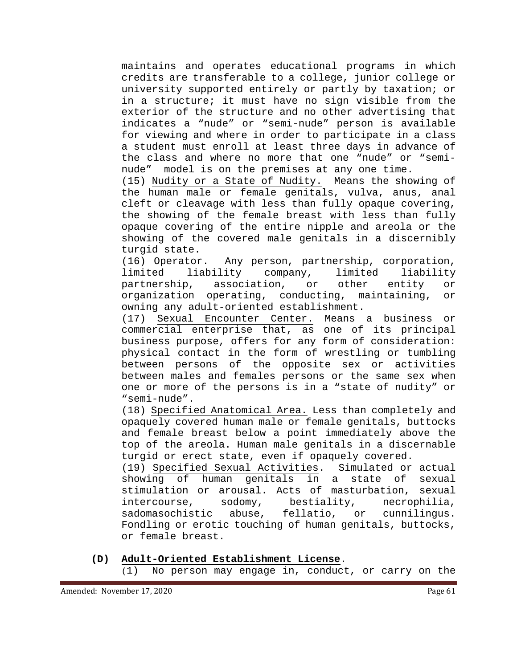maintains and operates educational programs in which credits are transferable to a college, junior college or university supported entirely or partly by taxation; or in a structure; it must have no sign visible from the exterior of the structure and no other advertising that indicates a "nude" or "semi-nude" person is available for viewing and where in order to participate in a class a student must enroll at least three days in advance of the class and where no more that one "nude" or "seminude" model is on the premises at any one time.

(15) Nudity or a State of Nudity. Means the showing of the human male or female genitals, vulva, anus, anal cleft or cleavage with less than fully opaque covering, the showing of the female breast with less than fully opaque covering of the entire nipple and areola or the showing of the covered male genitals in a discernibly turgid state.<br>(16) Operator.

(16) Operator. Any person, partnership, corporation,<br>limited liability company, limited liability liability partnership, association, or other entity or organization operating, conducting, maintaining, or owning any adult-oriented establishment.

(17) Sexual Encounter Center. Means a business or commercial enterprise that, as one of its principal business purpose, offers for any form of consideration: physical contact in the form of wrestling or tumbling between persons of the opposite sex or activities between males and females persons or the same sex when one or more of the persons is in a "state of nudity" or "semi-nude".

(18) Specified Anatomical Area. Less than completely and opaquely covered human male or female genitals, buttocks and female breast below a point immediately above the top of the areola. Human male genitals in a discernable turgid or erect state, even if opaquely covered.

(19) Specified Sexual Activities. Simulated or actual showing of human genitals in a state of sexual stimulation or arousal. Acts of masturbation, sexual intercourse, sodomy, bestiality, necrophilia, sadomasochistic abuse, fellatio, or cunnilingus. Fondling or erotic touching of human genitals, buttocks, or female breast.

**(D) Adult-Oriented Establishment License**.

(1) No person may engage in, conduct, or carry on the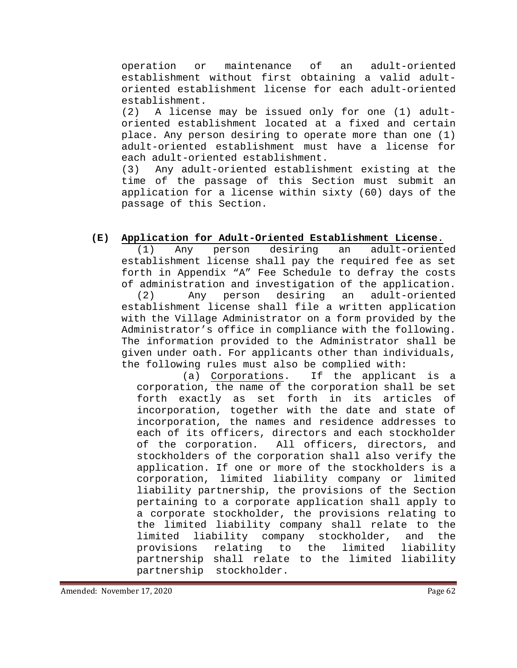operation or maintenance of an adult-oriented establishment without first obtaining a valid adultoriented establishment license for each adult-oriented establishment.<br>(2) A licens

A license may be issued only for one (1) adultoriented establishment located at a fixed and certain place. Any person desiring to operate more than one (1) adult-oriented establishment must have a license for each adult-oriented establishment.

(3) Any adult-oriented establishment existing at the time of the passage of this Section must submit an application for a license within sixty (60) days of the passage of this Section.

# **(E) Application for Adult-Oriented Establishment License**.

(1) Any person desiring an adult-oriented establishment license shall pay the required fee as set forth in Appendix "A" Fee Schedule to defray the costs of administration and investigation of the application.<br>(2) Any person desiring an adult-oriented (2) Any person desiring an adult-oriented establishment license shall file a written application with the Village Administrator on a form provided by the Administrator's office in compliance with the following. The information provided to the Administrator shall be given under oath. For applicants other than individuals,

the following rules must also be complied with:<br>(a) Corporations. If the applicar If the applicant is a corporation, the name of the corporation shall be set forth exactly as set forth in its articles of incorporation, together with the date and state of incorporation, the names and residence addresses to each of its officers, directors and each stockholder<br>of the corporation. All officers, directors, and All officers, directors, and stockholders of the corporation shall also verify the application. If one or more of the stockholders is a corporation, limited liability company or limited liability partnership, the provisions of the Section pertaining to a corporate application shall apply to a corporate stockholder, the provisions relating to the limited liability company shall relate to the limited liability company stockholder, and the<br>provisions relating to the limited liability relating to the partnership shall relate to the limited liability partnership stockholder.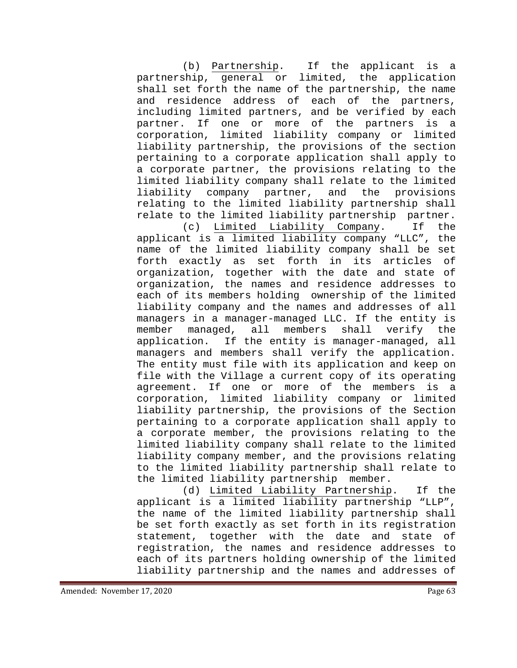(b) Partnership. If the applicant is a partnership, general or limited, the application shall set forth the name of the partnership, the name and residence address of each of the partners, including limited partners, and be verified by each partner. If one or more of the partners is a corporation, limited liability company or limited liability partnership, the provisions of the section pertaining to a corporate application shall apply to a corporate partner, the provisions relating to the limited liability company shall relate to the limited liability company partner, and the provisions relating to the limited liability partnership shall relate to the limited liability partnership partner.

(c) Limited Liability Company. If the applicant is a limited liability company "LLC", the name of the limited liability company shall be set forth exactly as set forth in its articles of organization, together with the date and state of organization, the names and residence addresses to each of its members holding ownership of the limited liability company and the names and addresses of all managers in a manager-managed LLC. If the entity is member managed, all members shall verify the application. If the entity is manager-managed, all managers and members shall verify the application. The entity must file with its application and keep on file with the Village a current copy of its operating agreement. If one or more of the members is a corporation, limited liability company or limited liability partnership, the provisions of the Section pertaining to a corporate application shall apply to a corporate member, the provisions relating to the limited liability company shall relate to the limited liability company member, and the provisions relating to the limited liability partnership shall relate to the limited liability partnership member.

(d) Limited Liability Partnership. If the applicant is a limited liability partnership "LLP", the name of the limited liability partnership shall be set forth exactly as set forth in its registration statement, together with the date and state of registration, the names and residence addresses to each of its partners holding ownership of the limited liability partnership and the names and addresses of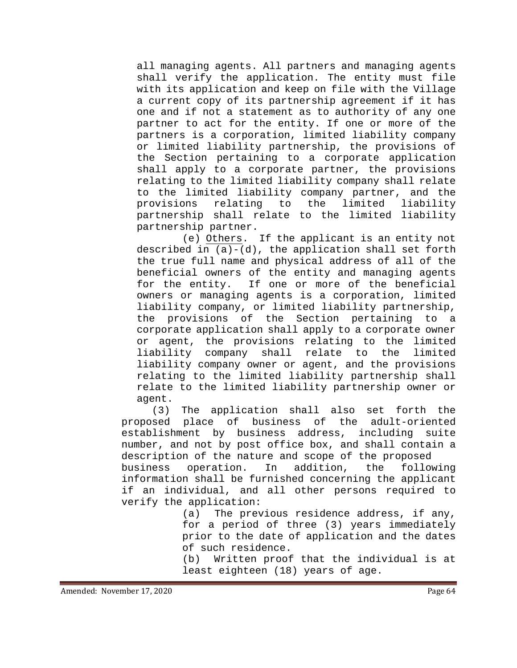all managing agents. All partners and managing agents shall verify the application. The entity must file with its application and keep on file with the Village a current copy of its partnership agreement if it has one and if not a statement as to authority of any one partner to act for the entity. If one or more of the partners is a corporation, limited liability company or limited liability partnership, the provisions of the Section pertaining to a corporate application shall apply to a corporate partner, the provisions relating to the limited liability company shall relate to the limited liability company partner, and the<br>provisions relating to the limited liability the limited partnership shall relate to the limited liability partnership partner.

(e) Others. If the applicant is an entity not described in (a)-(d), the application shall set forth the true full name and physical address of all of the beneficial owners of the entity and managing agents<br>for the entity. If one or more of the beneficial If one or more of the beneficial owners or managing agents is a corporation, limited liability company, or limited liability partnership, the provisions of the Section pertaining to a corporate application shall apply to a corporate owner or agent, the provisions relating to the limited<br>liability company shall relate to the limited liability company shall relate to the liability company owner or agent, and the provisions relating to the limited liability partnership shall relate to the limited liability partnership owner or agent.

(3) The application shall also set forth the proposed place of business of the adult-oriented establishment by business address, including suite number, and not by post office box, and shall contain a description of the nature and scope of the proposed<br>business operation. In addition, the following

operation. information shall be furnished concerning the applicant if an individual, and all other persons required to verify the application:

(a) The previous residence address, if any, for a period of three (3) years immediately prior to the date of application and the dates of such residence.

(b) Written proof that the individual is at least eighteen (18) years of age.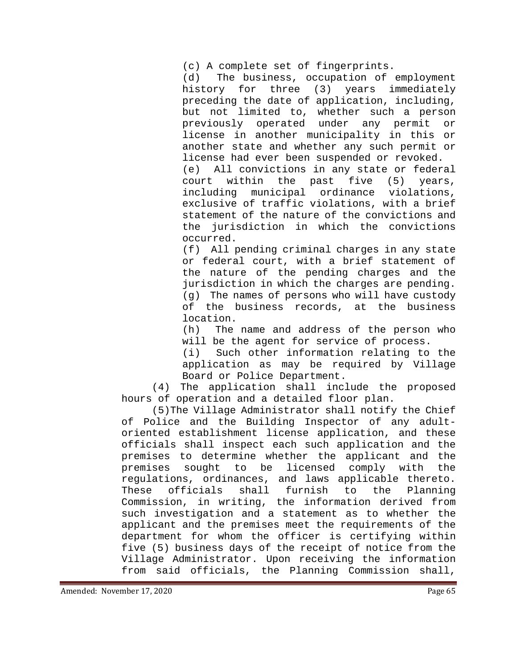(c) A complete set of fingerprints.<br>(d) The business, occupation of The business, occupation of employment history for three (3) years immediately preceding the date of application, including, but not limited to, whether such a person previously operated under any permit or license in another municipality in this or another state and whether any such permit or license had ever been suspended or revoked. (e) All convictions in any state or federal<br>court within the past five (5) years, within the past five  $(5)$  years, including municipal ordinance violations, exclusive of traffic violations, with a brief statement of the nature of the convictions and the jurisdiction in which the convictions

occurred.

(f) All pending criminal charges in any state or federal court, with a brief statement of the nature of the pending charges and the jurisdiction in which the charges are pending. (g) The names of persons who will have custody of the business records, at the business location.

(h) The name and address of the person who

will be the agent for service of process.<br>(i) Such other information relating to Such other information relating to the application as may be required by Village Board or Police Department.

(4) The application shall include the proposed hours of operation and a detailed floor plan.

(5)The Village Administrator shall notify the Chief of Police and the Building Inspector of any adultoriented establishment license application, and these officials shall inspect each such application and the premises to determine whether the applicant and the<br>premises sought to be licensed comply with the sought to be licensed comply with regulations, ordinances, and laws applicable thereto. These officials shall furnish to the Planning Commission, in writing, the information derived from such investigation and a statement as to whether the applicant and the premises meet the requirements of the department for whom the officer is certifying within five (5) business days of the receipt of notice from the Village Administrator. Upon receiving the information from said officials, the Planning Commission shall,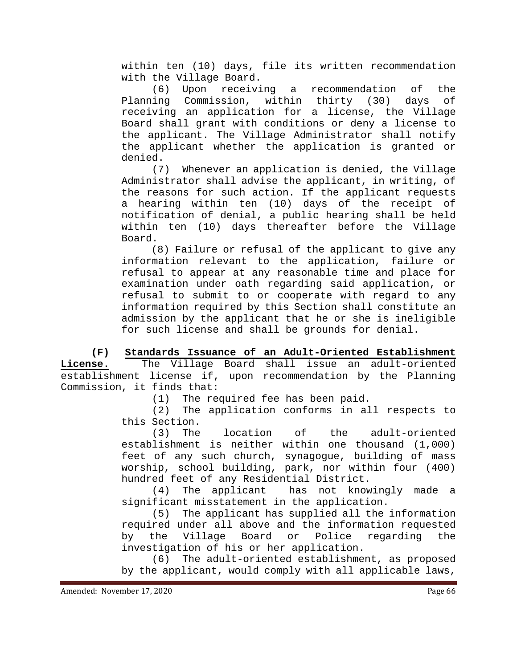within ten (10) days, file its written recommendation

with the Village Board.<br>(6) Upon receivi receiving a recommendation of the Planning Commission, within thirty (30) days of receiving an application for a license, the Village Board shall grant with conditions or deny a license to the applicant. The Village Administrator shall notify the applicant whether the application is granted or denied.

(7) Whenever an application is denied, the Village Administrator shall advise the applicant, in writing, of the reasons for such action. If the applicant requests a hearing within ten (10) days of the receipt of notification of denial, a public hearing shall be held within ten (10) days thereafter before the Village Board.

(8) Failure or refusal of the applicant to give any information relevant to the application, failure or refusal to appear at any reasonable time and place for examination under oath regarding said application, or refusal to submit to or cooperate with regard to any information required by this Section shall constitute an admission by the applicant that he or she is ineligible for such license and shall be grounds for denial.

**(F) Standards Issuance of an Adult-Oriented Establishment License.** The Village Board shall issue an adult-oriented establishment license if, upon recommendation by the Planning Commission, it finds that:<br>(1) The re

(1) The required fee has been paid.<br>(2) The application conforms in al

The application conforms in all respects to this Section.

(3) The location of the adult-oriented establishment is neither within one thousand (1,000) feet of any such church, synagogue, building of mass worship, school building, park, nor within four (400) hundred feet of any Residential District.<br>(4) The applicant has not know

has not knowingly made a significant misstatement in the application.

(5) The applicant has supplied all the information required under all above and the information requested<br>by the Village Board or Police regarding the Police regarding the investigation of his or her application.

(6) The adult-oriented establishment, as proposed by the applicant, would comply with all applicable laws,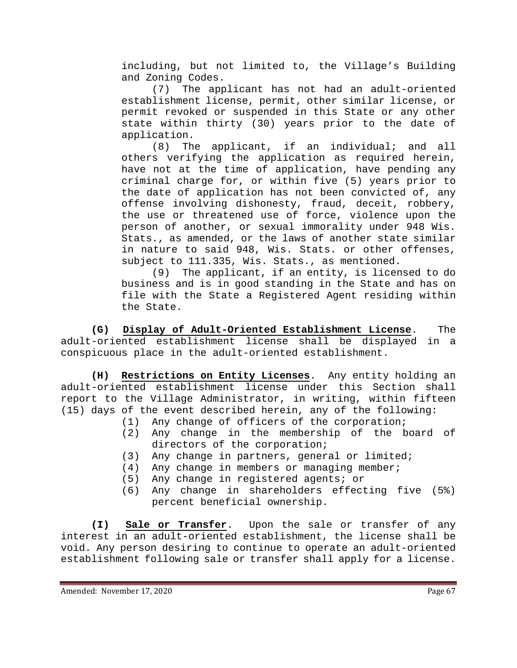including, but not limited to, the Village's Building and Zoning Codes.

(7) The applicant has not had an adult-oriented establishment license, permit, other similar license, or permit revoked or suspended in this State or any other state within thirty (30) years prior to the date of application.

(8) The applicant, if an individual; and all others verifying the application as required herein, have not at the time of application, have pending any criminal charge for, or within five (5) years prior to the date of application has not been convicted of, any offense involving dishonesty, fraud, deceit, robbery, the use or threatened use of force, violence upon the person of another, or sexual immorality under 948 Wis. Stats., as amended, or the laws of another state similar in nature to said 948, Wis. Stats. or other offenses, subject to 111.335, Wis. Stats., as mentioned.

(9) The applicant, if an entity, is licensed to do business and is in good standing in the State and has on file with the State a Registered Agent residing within the State.

**(G) Display of Adult-Oriented Establishment License**. The adult-oriented establishment license shall be displayed in a conspicuous place in the adult-oriented establishment.

**(H) Restrictions on Entity Licenses**. Any entity holding an adult-oriented establishment license under this Section shall report to the Village Administrator, in writing, within fifteen (15) days of the event described herein, any of the following:

- (1) Any change of officers of the corporation;<br>(2) Any change in the membership of the b
- Any change in the membership of the board of directors of the corporation;
- (3) Any change in partners, general or limited;<br>(4) Any change in members or managing member;
- Any change in members or managing member;
- (5) Any change in registered agents; or
- (6) Any change in shareholders effecting five (5%) percent beneficial ownership.

**(I) Sale or Transfer**. Upon the sale or transfer of any interest in an adult-oriented establishment, the license shall be void. Any person desiring to continue to operate an adult-oriented establishment following sale or transfer shall apply for a license.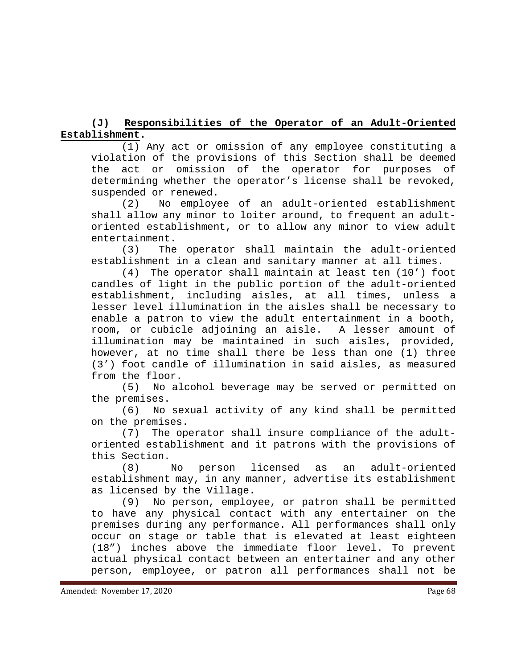# **(J) Responsibilities of the Operator of an Adult-Oriented Establishment.**

(1) Any act or omission of any employee constituting a violation of the provisions of this Section shall be deemed the act or omission of the operator for purposes of determining whether the operator's license shall be revoked,

suspended or renewed.<br>(2) No employe No employee of an adult-oriented establishment shall allow any minor to loiter around, to frequent an adultoriented establishment, or to allow any minor to view adult entertainment.

(3) The operator shall maintain the adult-oriented establishment in a clean and sanitary manner at all times.

(4) The operator shall maintain at least ten (10') foot candles of light in the public portion of the adult-oriented establishment, including aisles, at all times, unless a lesser level illumination in the aisles shall be necessary to enable a patron to view the adult entertainment in a booth, room, or cubicle adjoining an aisle. A lesser amount of illumination may be maintained in such aisles, provided, however, at no time shall there be less than one (1) three (3') foot candle of illumination in said aisles, as measured from the floor.<br>(5) No al

No alcohol beverage may be served or permitted on the premises.

(6) No sexual activity of any kind shall be permitted on the premises.

(7) The operator shall insure compliance of the adultoriented establishment and it patrons with the provisions of this Section.<br>(8) No

(8) No person licensed as an adult-oriented establishment may, in any manner, advertise its establishment as licensed by the Village.

(9) No person, employee, or patron shall be permitted to have any physical contact with any entertainer on the premises during any performance. All performances shall only occur on stage or table that is elevated at least eighteen (18") inches above the immediate floor level. To prevent actual physical contact between an entertainer and any other person, employee, or patron all performances shall not be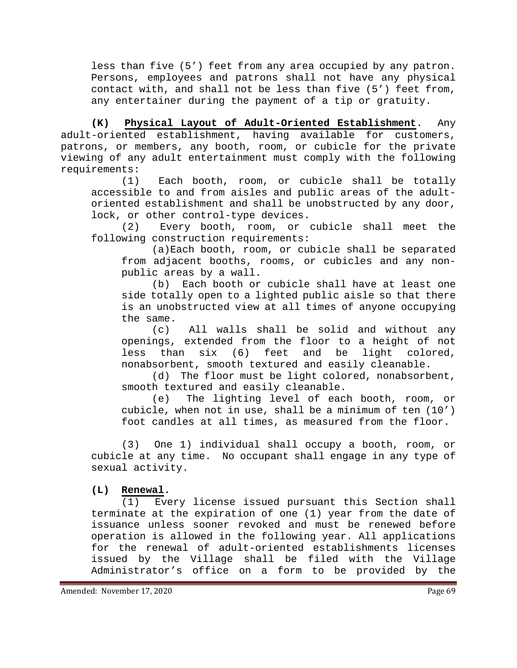less than five (5') feet from any area occupied by any patron. Persons, employees and patrons shall not have any physical contact with, and shall not be less than five (5') feet from, any entertainer during the payment of a tip or gratuity.

**(K) Physical Layout of Adult-Oriented Establishment**. Any adult-oriented establishment, having available for customers, patrons, or members, any booth, room, or cubicle for the private viewing of any adult entertainment must comply with the following requirements:

Each booth, room, or cubicle shall be totally accessible to and from aisles and public areas of the adultoriented establishment and shall be unobstructed by any door, lock, or other control-type devices.

(2) Every booth, room, or cubicle shall meet the following construction requirements:

(a)Each booth, room, or cubicle shall be separated from adjacent booths, rooms, or cubicles and any nonpublic areas by a wall.<br>(b) Each booth or

Each booth or cubicle shall have at least one side totally open to a lighted public aisle so that there is an unobstructed view at all times of anyone occupying the same.

(c) All walls shall be solid and without any openings, extended from the floor to a height of not<br>less than six (6) feet and be light colored, less than  $six$  (6) feet and be nonabsorbent, smooth textured and easily cleanable.

(d) The floor must be light colored, nonabsorbent, smooth textured and easily cleanable.

(e) The lighting level of each booth, room, or cubicle, when not in use, shall be a minimum of ten (10') foot candles at all times, as measured from the floor.

(3) One 1) individual shall occupy a booth, room, or cubicle at any time. No occupant shall engage in any type of sexual activity.

#### **(L) Renewal.**

(1) Every license issued pursuant this Section shall terminate at the expiration of one (1) year from the date of issuance unless sooner revoked and must be renewed before operation is allowed in the following year. All applications for the renewal of adult-oriented establishments licenses issued by the Village shall be filed with the Village Administrator's office on a form to be provided by the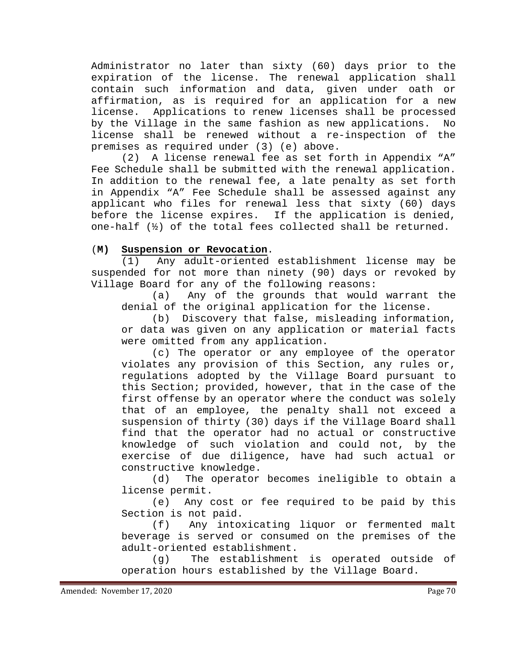Administrator no later than sixty (60) days prior to the expiration of the license. The renewal application shall contain such information and data, given under oath or affirmation, as is required for an application for a new<br>license. Applications to renew licenses shall be processed Applications to renew licenses shall be processed by the Village in the same fashion as new applications. No license shall be renewed without a re-inspection of the premises as required under (3) (e) above.

(2) A license renewal fee as set forth in Appendix "A" Fee Schedule shall be submitted with the renewal application. In addition to the renewal fee, a late penalty as set forth in Appendix "A" Fee Schedule shall be assessed against any applicant who files for renewal less that sixty (60) days before the license expires. If the application is denied, one-half (½) of the total fees collected shall be returned.

### (**M) Suspension or Revocation**.

(1) Any adult-oriented establishment license may be suspended for not more than ninety (90) days or revoked by Village Board for any of the following reasons:

(a) Any of the grounds that would warrant the denial of the original application for the license.

(b) Discovery that false, misleading information, or data was given on any application or material facts were omitted from any application.

(c) The operator or any employee of the operator violates any provision of this Section, any rules or, regulations adopted by the Village Board pursuant to this Section; provided, however, that in the case of the first offense by an operator where the conduct was solely that of an employee, the penalty shall not exceed a suspension of thirty (30) days if the Village Board shall find that the operator had no actual or constructive knowledge of such violation and could not, by the exercise of due diligence, have had such actual or constructive knowledge.

(d) The operator becomes ineligible to obtain a license permit.

(e) Any cost or fee required to be paid by this Section is not paid.<br>(f) Any into:

Any intoxicating liquor or fermented malt beverage is served or consumed on the premises of the adult-oriented establishment.

(g) The establishment is operated outside of operation hours established by the Village Board.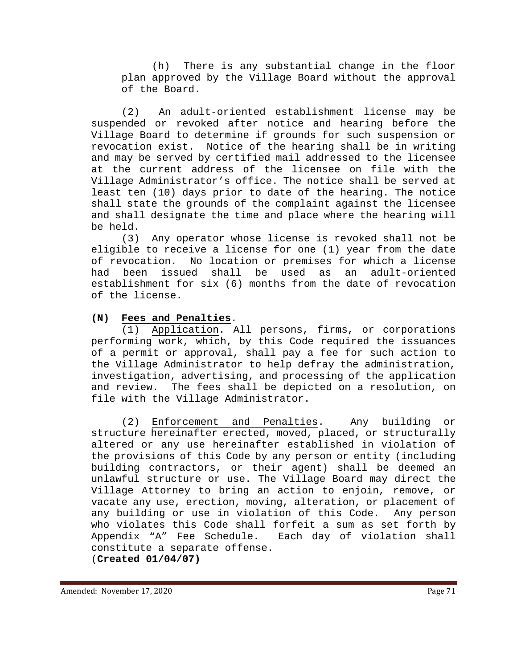(h) There is any substantial change in the floor plan approved by the Village Board without the approval of the Board.

(2) An adult-oriented establishment license may be suspended or revoked after notice and hearing before the Village Board to determine if grounds for such suspension or revocation exist. Notice of the hearing shall be in writing and may be served by certified mail addressed to the licensee at the current address of the licensee on file with the Village Administrator's office. The notice shall be served at least ten (10) days prior to date of the hearing. The notice shall state the grounds of the complaint against the licensee and shall designate the time and place where the hearing will be held.

(3) Any operator whose license is revoked shall not be eligible to receive a license for one (1) year from the date of revocation. No location or premises for which a license<br>had been issued shall be used as an adult-oriented an adult-oriented establishment for six (6) months from the date of revocation of the license.

### **(N) Fees and Penalties**.

(1) Application. All persons, firms, or corporations performing work, which, by this Code required the issuances of a permit or approval, shall pay a fee for such action to the Village Administrator to help defray the administration, investigation, advertising, and processing of the application The fees shall be depicted on a resolution, on file with the Village Administrator.

(2) Enforcement and Penalties. Any building or structure hereinafter erected, moved, placed, or structurally altered or any use hereinafter established in violation of the provisions of this Code by any person or entity (including building contractors, or their agent) shall be deemed an unlawful structure or use. The Village Board may direct the Village Attorney to bring an action to enjoin, remove, or vacate any use, erection, moving, alteration, or placement of any building or use in violation of this Code. Any person who violates this Code shall forfeit a sum as set forth by Appendix "A" Fee Schedule. Each day of violation shall constitute a separate offense. (**Created 01/04/07)**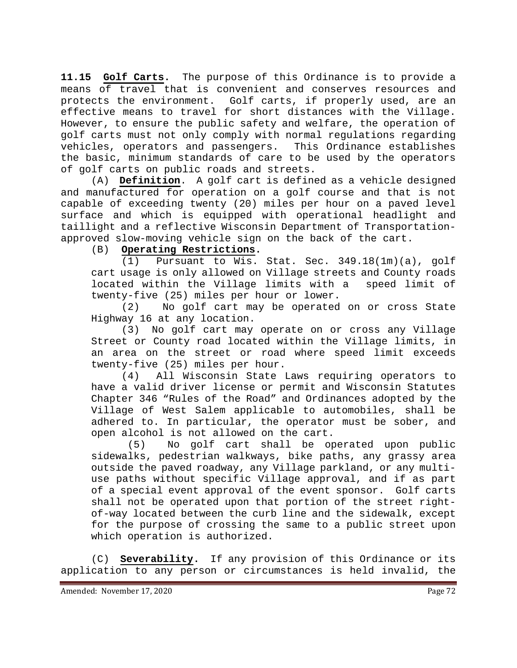**11.15 Golf Carts.** The purpose of this Ordinance is to provide a means of travel that is convenient and conserves resources and protects the environment. Golf carts, if properly used, are an effective means to travel for short distances with the Village. However, to ensure the public safety and welfare, the operation of golf carts must not only comply with normal regulations regarding vehicles, operators and passengers. This Ordinance establishes the basic, minimum standards of care to be used by the operators of golf carts on public roads and streets.

(A) **Definition**. A golf cart is defined as a vehicle designed and manufactured for operation on a golf course and that is not capable of exceeding twenty (20) miles per hour on a paved level surface and which is equipped with operational headlight and taillight and a reflective Wisconsin Department of Transportationapproved slow-moving vehicle sign on the back of the cart.<br>(B) Operating Restrictions.

# Operating Restrictions.

(1) Pursuant to Wis. Stat. Sec. 349.18(1m)(a), golf cart usage is only allowed on Village streets and County roads<br>located within the Village limits with a speed limit of located within the Village limits with a twenty-five (25) miles per hour or lower.<br>(2) No golf cart may be operated

No golf cart may be operated on or cross State Highway 16 at any location.

(3) No golf cart may operate on or cross any Village Street or County road located within the Village limits, in an area on the street or road where speed limit exceeds twenty-five (25) miles per hour.<br>(4) All Wisconsin State

All Wisconsin State Laws requiring operators to have a valid driver license or permit and Wisconsin Statutes Chapter 346 "Rules of the Road" and Ordinances adopted by the Village of West Salem applicable to automobiles, shall be adhered to. In particular, the operator must be sober, and open alcohol is not allowed on the cart.<br>(5) No golf cart shall be op

No golf cart shall be operated upon public sidewalks, pedestrian walkways, bike paths, any grassy area outside the paved roadway, any Village parkland, or any multiuse paths without specific Village approval, and if as part of a special event approval of the event sponsor. Golf carts shall not be operated upon that portion of the street rightof-way located between the curb line and the sidewalk, except for the purpose of crossing the same to a public street upon which operation is authorized.

(C) **Severability.** If any provision of this Ordinance or its application to any person or circumstances is held invalid, the